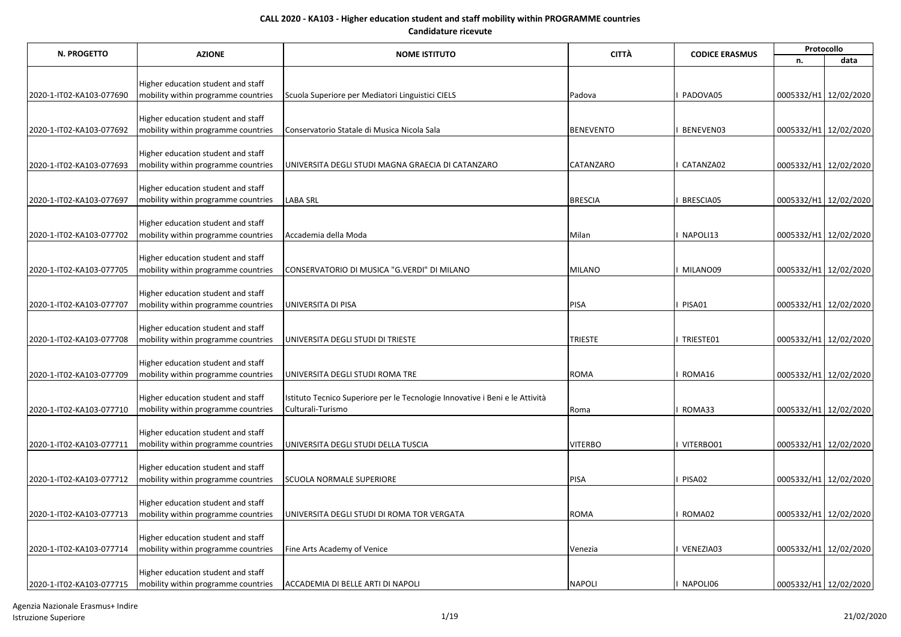| <b>AZIONE</b><br>N. PROGETTO | <b>NOME ISTITUTO</b>                                                      |                                                                              | <b>CITTÀ</b><br><b>CODICE ERASMUS</b> | Protocollo |                       |      |
|------------------------------|---------------------------------------------------------------------------|------------------------------------------------------------------------------|---------------------------------------|------------|-----------------------|------|
|                              |                                                                           |                                                                              |                                       |            | n.                    | data |
|                              |                                                                           |                                                                              |                                       |            |                       |      |
|                              | Higher education student and staff                                        |                                                                              | Padova                                | PADOVA05   | 0005332/H1 12/02/2020 |      |
| 2020-1-IT02-KA103-077690     | mobility within programme countries                                       | Scuola Superiore per Mediatori Linguistici CIELS                             |                                       |            |                       |      |
|                              | Higher education student and staff                                        |                                                                              |                                       |            |                       |      |
| 2020-1-IT02-KA103-077692     | mobility within programme countries                                       | Conservatorio Statale di Musica Nicola Sala                                  | <b>BENEVENTO</b>                      | BENEVEN03  | 0005332/H1 12/02/2020 |      |
|                              |                                                                           |                                                                              |                                       |            |                       |      |
|                              | Higher education student and staff                                        |                                                                              |                                       |            |                       |      |
| 2020-1-IT02-KA103-077693     | mobility within programme countries                                       | UNIVERSITA DEGLI STUDI MAGNA GRAECIA DI CATANZARO                            | CATANZARO                             | CATANZA02  | 0005332/H1 12/02/2020 |      |
|                              | Higher education student and staff                                        |                                                                              |                                       |            |                       |      |
| 2020-1-IT02-KA103-077697     | mobility within programme countries                                       | <b>LABA SRL</b>                                                              | <b>BRESCIA</b>                        | BRESCIA05  | 0005332/H1 12/02/2020 |      |
|                              |                                                                           |                                                                              |                                       |            |                       |      |
|                              | Higher education student and staff                                        |                                                                              |                                       |            |                       |      |
| 2020-1-IT02-KA103-077702     | mobility within programme countries                                       | Accademia della Moda                                                         | Milan                                 | NAPOLI13   | 0005332/H1 12/02/2020 |      |
|                              | Higher education student and staff                                        |                                                                              |                                       |            |                       |      |
| 2020-1-IT02-KA103-077705     | mobility within programme countries                                       | CONSERVATORIO DI MUSICA "G.VERDI" DI MILANO                                  | <b>MILANO</b>                         | MILANO09   | 0005332/H1 12/02/2020 |      |
|                              |                                                                           |                                                                              |                                       |            |                       |      |
|                              | Higher education student and staff                                        |                                                                              |                                       |            |                       |      |
| 2020-1-IT02-KA103-077707     | mobility within programme countries                                       | UNIVERSITA DI PISA                                                           | PISA                                  | PISA01     | 0005332/H1 12/02/2020 |      |
|                              | Higher education student and staff                                        |                                                                              |                                       |            |                       |      |
| 2020-1-IT02-KA103-077708     | mobility within programme countries                                       | UNIVERSITA DEGLI STUDI DI TRIESTE                                            | <b>TRIESTE</b>                        | TRIESTE01  | 0005332/H1 12/02/2020 |      |
|                              |                                                                           |                                                                              |                                       |            |                       |      |
|                              | Higher education student and staff                                        |                                                                              |                                       |            |                       |      |
| 2020-1-IT02-KA103-077709     | mobility within programme countries                                       | UNIVERSITA DEGLI STUDI ROMA TRE                                              | <b>ROMA</b>                           | ROMA16     | 0005332/H1 12/02/2020 |      |
|                              | Higher education student and staff                                        | Istituto Tecnico Superiore per le Tecnologie Innovative i Beni e le Attività |                                       |            |                       |      |
| 2020-1-IT02-KA103-077710     | mobility within programme countries                                       | Culturali-Turismo                                                            | Roma                                  | ROMA33     | 0005332/H1 12/02/2020 |      |
|                              |                                                                           |                                                                              |                                       |            |                       |      |
|                              | Higher education student and staff<br>mobility within programme countries |                                                                              | <b>VITERBO</b>                        | VITERBO01  | 0005332/H1 12/02/2020 |      |
| 2020-1-IT02-KA103-077711     |                                                                           | UNIVERSITA DEGLI STUDI DELLA TUSCIA                                          |                                       |            |                       |      |
|                              | Higher education student and staff                                        |                                                                              |                                       |            |                       |      |
| 2020-1-IT02-KA103-077712     | mobility within programme countries                                       | <b>SCUOLA NORMALE SUPERIORE</b>                                              | <b>PISA</b>                           | PISA02     | 0005332/H1 12/02/2020 |      |
|                              |                                                                           |                                                                              |                                       |            |                       |      |
|                              | Higher education student and staff                                        |                                                                              |                                       |            |                       |      |
| 2020-1-IT02-KA103-077713     | mobility within programme countries                                       | UNIVERSITA DEGLI STUDI DI ROMA TOR VERGATA                                   | <b>ROMA</b>                           | ROMA02     | 0005332/H1 12/02/2020 |      |
|                              | Higher education student and staff                                        |                                                                              |                                       |            |                       |      |
| 2020-1-IT02-KA103-077714     | mobility within programme countries                                       | Fine Arts Academy of Venice                                                  | Venezia                               | VENEZIA03  | 0005332/H1 12/02/2020 |      |
|                              |                                                                           |                                                                              |                                       |            |                       |      |
|                              | Higher education student and staff                                        |                                                                              |                                       |            |                       |      |
| 2020-1-IT02-KA103-077715     | mobility within programme countries                                       | ACCADEMIA DI BELLE ARTI DI NAPOLI                                            | <b>NAPOLI</b>                         | I NAPOLI06 | 0005332/H1 12/02/2020 |      |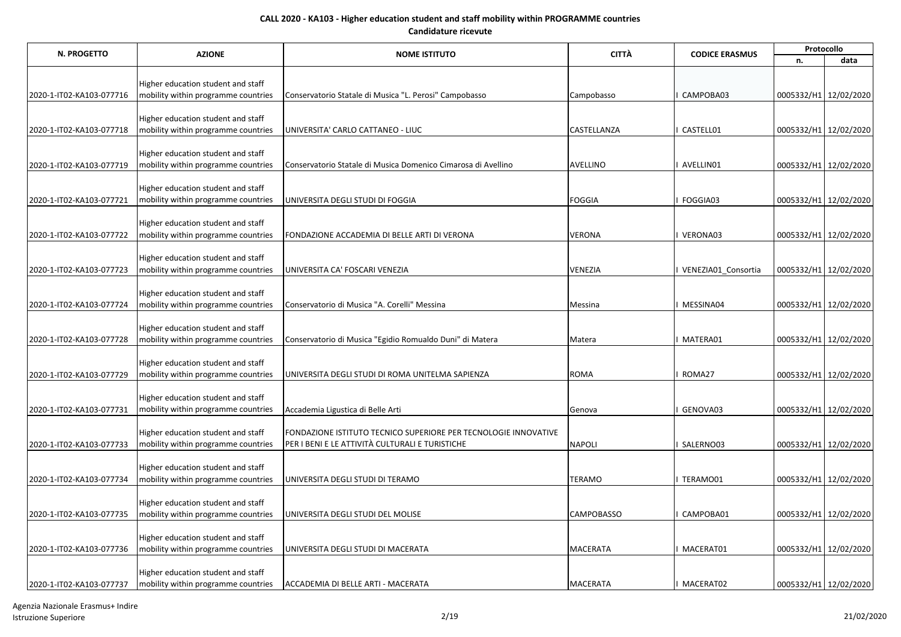| <b>N. PROGETTO</b>       | <b>AZIONE</b>                                                             | <b>NOME ISTITUTO</b>                                                                                               | <b>CITTÀ</b>      | <b>CODICE ERASMUS</b> | Protocollo            |      |  |
|--------------------------|---------------------------------------------------------------------------|--------------------------------------------------------------------------------------------------------------------|-------------------|-----------------------|-----------------------|------|--|
|                          |                                                                           |                                                                                                                    |                   |                       | n.                    | data |  |
|                          |                                                                           |                                                                                                                    |                   |                       |                       |      |  |
|                          | Higher education student and staff                                        |                                                                                                                    |                   |                       |                       |      |  |
| 2020-1-IT02-KA103-077716 | mobility within programme countries                                       | Conservatorio Statale di Musica "L. Perosi" Campobasso                                                             | Campobasso        | CAMPOBA03             | 0005332/H1 12/02/2020 |      |  |
|                          | Higher education student and staff                                        |                                                                                                                    |                   |                       |                       |      |  |
| 2020-1-IT02-KA103-077718 | mobility within programme countries                                       | UNIVERSITA' CARLO CATTANEO - LIUC                                                                                  | CASTELLANZA       | CASTELL01             | 0005332/H1 12/02/2020 |      |  |
|                          |                                                                           |                                                                                                                    |                   |                       |                       |      |  |
|                          | Higher education student and staff                                        |                                                                                                                    |                   |                       |                       |      |  |
| 2020-1-IT02-KA103-077719 | mobility within programme countries                                       | Conservatorio Statale di Musica Domenico Cimarosa di Avellino                                                      | <b>AVELLINO</b>   | AVELLIN01             | 0005332/H1 12/02/2020 |      |  |
|                          | Higher education student and staff                                        |                                                                                                                    |                   |                       |                       |      |  |
| 2020-1-IT02-KA103-077721 | mobility within programme countries                                       | UNIVERSITA DEGLI STUDI DI FOGGIA                                                                                   | <b>FOGGIA</b>     | FOGGIA03              | 0005332/H1 12/02/2020 |      |  |
|                          |                                                                           |                                                                                                                    |                   |                       |                       |      |  |
|                          | Higher education student and staff                                        |                                                                                                                    |                   |                       |                       |      |  |
| 2020-1-IT02-KA103-077722 | mobility within programme countries                                       | FONDAZIONE ACCADEMIA DI BELLE ARTI DI VERONA                                                                       | VERONA            | VERONA03              | 0005332/H1 12/02/2020 |      |  |
|                          |                                                                           |                                                                                                                    |                   |                       |                       |      |  |
|                          | Higher education student and staff                                        | UNIVERSITA CA' FOSCARI VENEZIA                                                                                     | <b>VENEZIA</b>    | VENEZIA01 Consortia   |                       |      |  |
| 2020-1-IT02-KA103-077723 | mobility within programme countries                                       |                                                                                                                    |                   |                       | 0005332/H1 12/02/2020 |      |  |
|                          | Higher education student and staff                                        |                                                                                                                    |                   |                       |                       |      |  |
| 2020-1-IT02-KA103-077724 | mobility within programme countries                                       | Conservatorio di Musica "A. Corelli" Messina                                                                       | Messina           | MESSINA04             | 0005332/H1 12/02/2020 |      |  |
|                          |                                                                           |                                                                                                                    |                   |                       |                       |      |  |
|                          | Higher education student and staff                                        |                                                                                                                    |                   |                       |                       |      |  |
| 2020-1-IT02-KA103-077728 | mobility within programme countries                                       | Conservatorio di Musica "Egidio Romualdo Duni" di Matera                                                           | Matera            | MATERA01              | 0005332/H1 12/02/2020 |      |  |
|                          | Higher education student and staff                                        |                                                                                                                    |                   |                       |                       |      |  |
| 2020-1-IT02-KA103-077729 | mobility within programme countries                                       | UNIVERSITA DEGLI STUDI DI ROMA UNITELMA SAPIENZA                                                                   | <b>ROMA</b>       | ROMA27                | 0005332/H1 12/02/2020 |      |  |
|                          |                                                                           |                                                                                                                    |                   |                       |                       |      |  |
|                          | Higher education student and staff                                        |                                                                                                                    |                   |                       |                       |      |  |
| 2020-1-IT02-KA103-077731 | mobility within programme countries                                       | Accademia Ligustica di Belle Arti                                                                                  | Genova            | GENOVA03              | 0005332/H1 12/02/2020 |      |  |
|                          |                                                                           |                                                                                                                    |                   |                       |                       |      |  |
| 2020-1-IT02-KA103-077733 | Higher education student and staff<br>mobility within programme countries | FONDAZIONE ISTITUTO TECNICO SUPERIORE PER TECNOLOGIE INNOVATIVE<br>PER I BENI E LE ATTIVITÀ CULTURALI E TURISTICHE | <b>NAPOLI</b>     | SALERNO03             | 0005332/H1 12/02/2020 |      |  |
|                          |                                                                           |                                                                                                                    |                   |                       |                       |      |  |
|                          | Higher education student and staff                                        |                                                                                                                    |                   |                       |                       |      |  |
| 2020-1-IT02-KA103-077734 | mobility within programme countries                                       | UNIVERSITA DEGLI STUDI DI TERAMO                                                                                   | <b>TERAMO</b>     | TERAMO01              | 0005332/H1 12/02/2020 |      |  |
|                          |                                                                           |                                                                                                                    |                   |                       |                       |      |  |
|                          | Higher education student and staff                                        |                                                                                                                    |                   |                       |                       |      |  |
| 2020-1-IT02-KA103-077735 | mobility within programme countries                                       | UNIVERSITA DEGLI STUDI DEL MOLISE                                                                                  | <b>CAMPOBASSO</b> | CAMPOBA01             | 0005332/H1 12/02/2020 |      |  |
|                          | Higher education student and staff                                        |                                                                                                                    |                   |                       |                       |      |  |
| 2020-1-IT02-KA103-077736 | mobility within programme countries                                       | UNIVERSITA DEGLI STUDI DI MACERATA                                                                                 | <b>MACERATA</b>   | MACERAT01             | 0005332/H1 12/02/2020 |      |  |
|                          |                                                                           |                                                                                                                    |                   |                       |                       |      |  |
|                          | Higher education student and staff                                        |                                                                                                                    |                   |                       |                       |      |  |
| 2020-1-IT02-KA103-077737 | mobility within programme countries                                       | ACCADEMIA DI BELLE ARTI - MACERATA                                                                                 | <b>MACERATA</b>   | I MACERAT02           | 0005332/H1 12/02/2020 |      |  |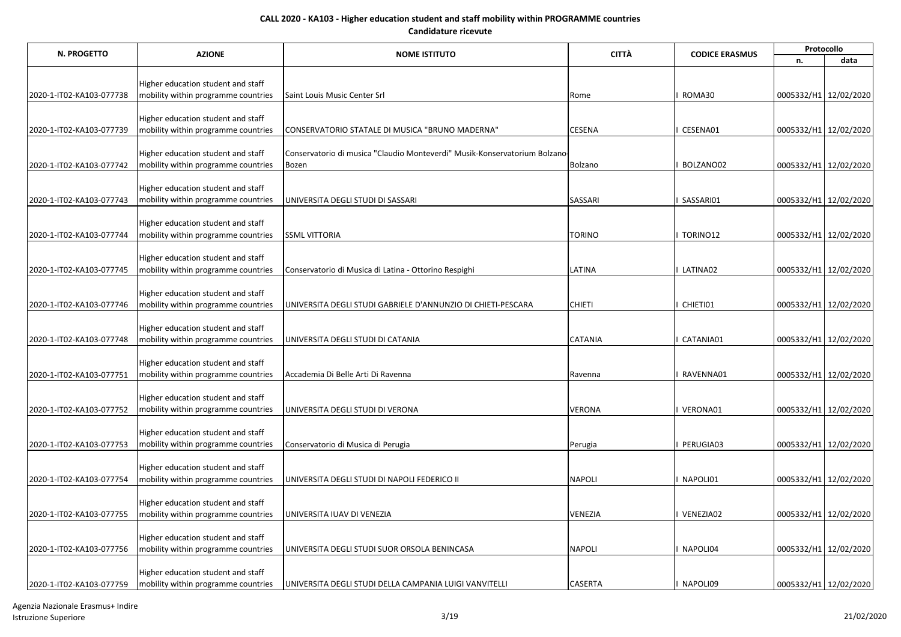| N. PROGETTO              | <b>AZIONE</b>                       | <b>NOME ISTITUTO</b>                                                       | <b>CITTÀ</b>   | <b>CODICE ERASMUS</b> | Protocollo            |                       |  |
|--------------------------|-------------------------------------|----------------------------------------------------------------------------|----------------|-----------------------|-----------------------|-----------------------|--|
|                          |                                     |                                                                            |                |                       | n.                    | data                  |  |
|                          |                                     |                                                                            |                |                       |                       |                       |  |
|                          | Higher education student and staff  |                                                                            |                |                       |                       |                       |  |
| 2020-1-IT02-KA103-077738 | mobility within programme countries | Saint Louis Music Center Srl                                               | Rome           | ROMA30                | 0005332/H1 12/02/2020 |                       |  |
|                          | Higher education student and staff  |                                                                            |                |                       |                       |                       |  |
| 2020-1-IT02-KA103-077739 | mobility within programme countries | CONSERVATORIO STATALE DI MUSICA "BRUNO MADERNA"                            | <b>CESENA</b>  | CESENA01              | 0005332/H1 12/02/2020 |                       |  |
|                          |                                     |                                                                            |                |                       |                       |                       |  |
|                          | Higher education student and staff  | Conservatorio di musica "Claudio Monteverdi" Musik-Konservatorium Bolzano- |                |                       |                       |                       |  |
| 2020-1-IT02-KA103-077742 | mobility within programme countries | Bozen                                                                      | Bolzano        | BOLZANO02             | 0005332/H1 12/02/2020 |                       |  |
|                          |                                     |                                                                            |                |                       |                       |                       |  |
|                          | Higher education student and staff  |                                                                            |                |                       |                       |                       |  |
| 2020-1-IT02-KA103-077743 | mobility within programme countries | UNIVERSITA DEGLI STUDI DI SASSARI                                          | SASSARI        | SASSARI01             | 0005332/H1 12/02/2020 |                       |  |
|                          | Higher education student and staff  |                                                                            |                |                       |                       |                       |  |
| 2020-1-IT02-KA103-077744 | mobility within programme countries | <b>SSML VITTORIA</b>                                                       | <b>TORINO</b>  | TORINO12              |                       | 0005332/H1 12/02/2020 |  |
|                          |                                     |                                                                            |                |                       |                       |                       |  |
|                          | Higher education student and staff  |                                                                            |                |                       |                       |                       |  |
| 2020-1-IT02-KA103-077745 | mobility within programme countries | Conservatorio di Musica di Latina - Ottorino Respighi                      | LATINA         | LATINA02              |                       | 0005332/H1 12/02/2020 |  |
|                          |                                     |                                                                            |                |                       |                       |                       |  |
|                          | Higher education student and staff  |                                                                            |                |                       |                       |                       |  |
| 2020-1-IT02-KA103-077746 | mobility within programme countries | UNIVERSITA DEGLI STUDI GABRIELE D'ANNUNZIO DI CHIETI-PESCARA               | <b>CHIETI</b>  | CHIETI01              |                       | 0005332/H1 12/02/2020 |  |
|                          | Higher education student and staff  |                                                                            |                |                       |                       |                       |  |
| 2020-1-IT02-KA103-077748 | mobility within programme countries | UNIVERSITA DEGLI STUDI DI CATANIA                                          | CATANIA        | CATANIA01             |                       | 0005332/H1 12/02/2020 |  |
|                          |                                     |                                                                            |                |                       |                       |                       |  |
|                          | Higher education student and staff  |                                                                            |                |                       |                       |                       |  |
| 2020-1-IT02-KA103-077751 | mobility within programme countries | Accademia Di Belle Arti Di Ravenna                                         | Ravenna        | RAVENNA01             |                       | 0005332/H1 12/02/2020 |  |
|                          |                                     |                                                                            |                |                       |                       |                       |  |
|                          | Higher education student and staff  |                                                                            | <b>VERONA</b>  |                       |                       | 0005332/H1 12/02/2020 |  |
| 2020-1-IT02-KA103-077752 | mobility within programme countries | UNIVERSITA DEGLI STUDI DI VERONA                                           |                | VERONA01              |                       |                       |  |
|                          | Higher education student and staff  |                                                                            |                |                       |                       |                       |  |
| 2020-1-IT02-KA103-077753 | mobility within programme countries | Conservatorio di Musica di Perugia                                         | Perugia        | PERUGIA03             |                       | 0005332/H1 12/02/2020 |  |
|                          |                                     |                                                                            |                |                       |                       |                       |  |
|                          | Higher education student and staff  |                                                                            |                |                       |                       |                       |  |
| 2020-1-IT02-KA103-077754 | mobility within programme countries | UNIVERSITA DEGLI STUDI DI NAPOLI FEDERICO II                               | <b>NAPOLI</b>  | NAPOLI01              |                       | 0005332/H1 12/02/2020 |  |
|                          |                                     |                                                                            |                |                       |                       |                       |  |
|                          | Higher education student and staff  |                                                                            | VENEZIA        | VENEZIA02             |                       |                       |  |
| 2020-1-IT02-KA103-077755 | mobility within programme countries | UNIVERSITA IUAV DI VENEZIA                                                 |                |                       |                       | 0005332/H1 12/02/2020 |  |
|                          | Higher education student and staff  |                                                                            |                |                       |                       |                       |  |
| 2020-1-IT02-KA103-077756 | mobility within programme countries | UNIVERSITA DEGLI STUDI SUOR ORSOLA BENINCASA                               | <b>NAPOLI</b>  | NAPOLI04              |                       | 0005332/H1 12/02/2020 |  |
|                          |                                     |                                                                            |                |                       |                       |                       |  |
|                          | Higher education student and staff  |                                                                            |                |                       |                       |                       |  |
| 2020-1-IT02-KA103-077759 | mobility within programme countries | UNIVERSITA DEGLI STUDI DELLA CAMPANIA LUIGI VANVITELLI                     | <b>CASERTA</b> | NAPOLI09              | 0005332/H1 12/02/2020 |                       |  |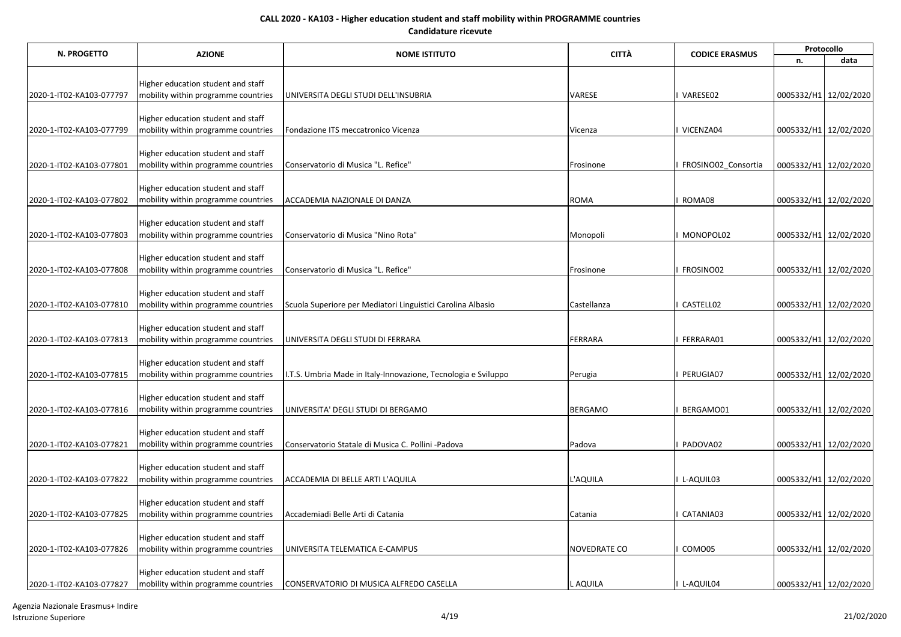| N. PROGETTO              | <b>AZIONE</b>                                                             | <b>NOME ISTITUTO</b>                                           | <b>CITTÀ</b>        | <b>CODICE ERASMUS</b> | Protocollo            |                       |
|--------------------------|---------------------------------------------------------------------------|----------------------------------------------------------------|---------------------|-----------------------|-----------------------|-----------------------|
|                          |                                                                           |                                                                |                     |                       | n.                    | data                  |
|                          |                                                                           |                                                                |                     |                       |                       |                       |
| 2020-1-IT02-KA103-077797 | Higher education student and staff<br>mobility within programme countries | UNIVERSITA DEGLI STUDI DELL'INSUBRIA                           | VARESE              | VARESE02              | 0005332/H1 12/02/2020 |                       |
|                          |                                                                           |                                                                |                     |                       |                       |                       |
|                          | Higher education student and staff                                        |                                                                |                     |                       |                       |                       |
| 2020-1-IT02-KA103-077799 | mobility within programme countries                                       | Fondazione ITS meccatronico Vicenza                            | Vicenza             | VICENZA04             | 0005332/H1 12/02/2020 |                       |
|                          |                                                                           |                                                                |                     |                       |                       |                       |
|                          | Higher education student and staff                                        |                                                                |                     |                       |                       |                       |
| 2020-1-IT02-KA103-077801 | mobility within programme countries                                       | Conservatorio di Musica "L. Refice"                            | Frosinone           | FROSINO02 Consortia   | 0005332/H1 12/02/2020 |                       |
|                          | Higher education student and staff                                        |                                                                |                     |                       |                       |                       |
| 2020-1-IT02-KA103-077802 | mobility within programme countries                                       | ACCADEMIA NAZIONALE DI DANZA                                   | <b>ROMA</b>         | ROMA08                | 0005332/H1 12/02/2020 |                       |
|                          |                                                                           |                                                                |                     |                       |                       |                       |
|                          | Higher education student and staff                                        |                                                                |                     |                       |                       |                       |
| 2020-1-IT02-KA103-077803 | mobility within programme countries                                       | Conservatorio di Musica "Nino Rota"                            | Monopoli            | MONOPOL02             | 0005332/H1 12/02/2020 |                       |
|                          | Higher education student and staff                                        |                                                                |                     |                       |                       |                       |
| 2020-1-IT02-KA103-077808 | mobility within programme countries                                       | Conservatorio di Musica "L. Refice"                            | Frosinone           | FROSINO02             |                       | 0005332/H1 12/02/2020 |
|                          |                                                                           |                                                                |                     |                       |                       |                       |
|                          | Higher education student and staff                                        |                                                                |                     | CASTELL02             |                       |                       |
| 2020-1-IT02-KA103-077810 | mobility within programme countries                                       | Scuola Superiore per Mediatori Linguistici Carolina Albasio    | Castellanza         |                       | 0005332/H1 12/02/2020 |                       |
|                          | Higher education student and staff                                        |                                                                |                     |                       |                       |                       |
| 2020-1-IT02-KA103-077813 | mobility within programme countries                                       | UNIVERSITA DEGLI STUDI DI FERRARA                              | <b>FERRARA</b>      | FERRARA01             | 0005332/H1 12/02/2020 |                       |
|                          |                                                                           |                                                                |                     |                       |                       |                       |
|                          | Higher education student and staff                                        |                                                                |                     |                       |                       |                       |
| 2020-1-IT02-KA103-077815 | mobility within programme countries                                       | I.T.S. Umbria Made in Italy-Innovazione, Tecnologia e Sviluppo | Perugia             | PERUGIA07             | 0005332/H1 12/02/2020 |                       |
|                          | Higher education student and staff                                        |                                                                |                     |                       |                       |                       |
| 2020-1-IT02-KA103-077816 | mobility within programme countries                                       | UNIVERSITA' DEGLI STUDI DI BERGAMO                             | <b>BERGAMO</b>      | BERGAMO01             |                       | 0005332/H1 12/02/2020 |
|                          |                                                                           |                                                                |                     |                       |                       |                       |
| 2020-1-IT02-KA103-077821 | Higher education student and staff<br>mobility within programme countries | Conservatorio Statale di Musica C. Pollini -Padova             | Padova              | PADOVA02              |                       | 0005332/H1 12/02/2020 |
|                          |                                                                           |                                                                |                     |                       |                       |                       |
|                          | Higher education student and staff                                        |                                                                |                     |                       |                       |                       |
| 2020-1-IT02-KA103-077822 | mobility within programme countries                                       | ACCADEMIA DI BELLE ARTI L'AQUILA                               | L'AQUILA            | L-AQUIL03             | 0005332/H1 12/02/2020 |                       |
|                          |                                                                           |                                                                |                     |                       |                       |                       |
|                          | Higher education student and staff                                        |                                                                |                     |                       |                       |                       |
| 2020-1-IT02-KA103-077825 | mobility within programme countries                                       | Accademiadi Belle Arti di Catania                              | Catania             | CATANIA03             | 0005332/H1 12/02/2020 |                       |
|                          | Higher education student and staff                                        |                                                                |                     |                       |                       |                       |
| 2020-1-IT02-KA103-077826 | mobility within programme countries                                       | UNIVERSITA TELEMATICA E-CAMPUS                                 | <b>NOVEDRATE CO</b> | COMO05                | 0005332/H1 12/02/2020 |                       |
|                          |                                                                           |                                                                |                     |                       |                       |                       |
| 2020-1-IT02-KA103-077827 | Higher education student and staff                                        |                                                                |                     | I L-AQUIL04           |                       |                       |
|                          | mobility within programme countries                                       | CONSERVATORIO DI MUSICA ALFREDO CASELLA                        | L AQUILA            |                       | 0005332/H1 12/02/2020 |                       |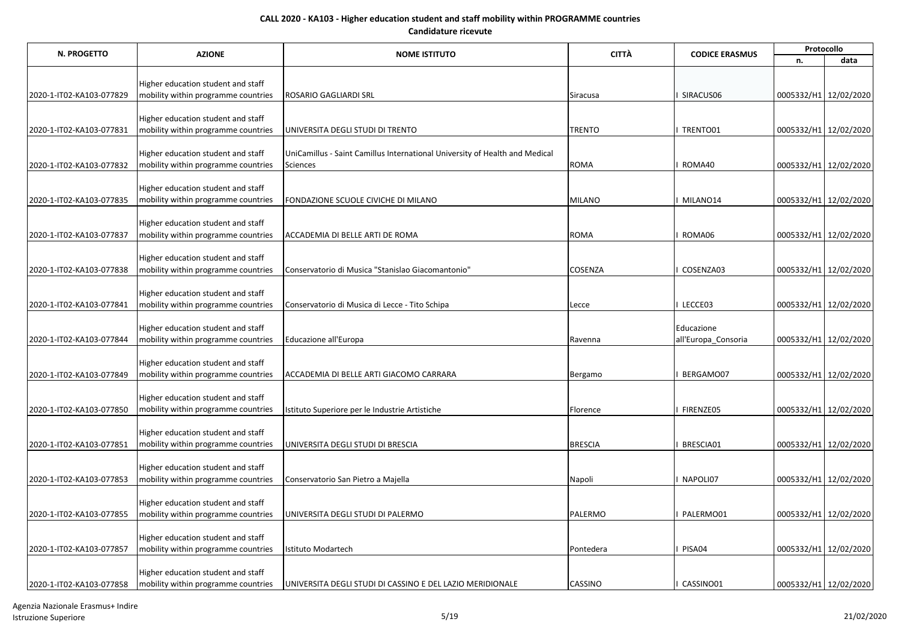| N. PROGETTO              | <b>AZIONE</b>                                                             | <b>NOME ISTITUTO</b>                                                                    | <b>CITTÀ</b>   | <b>CODICE ERASMUS</b> | Protocollo            |                       |  |
|--------------------------|---------------------------------------------------------------------------|-----------------------------------------------------------------------------------------|----------------|-----------------------|-----------------------|-----------------------|--|
|                          |                                                                           |                                                                                         |                |                       | n.                    | data                  |  |
|                          |                                                                           |                                                                                         |                |                       |                       |                       |  |
| 2020-1-IT02-KA103-077829 | Higher education student and staff<br>mobility within programme countries | ROSARIO GAGLIARDI SRL                                                                   | Siracusa       | SIRACUS06             |                       | 0005332/H1 12/02/2020 |  |
|                          |                                                                           |                                                                                         |                |                       |                       |                       |  |
|                          | Higher education student and staff                                        |                                                                                         |                |                       |                       |                       |  |
| 2020-1-IT02-KA103-077831 | mobility within programme countries                                       | UNIVERSITA DEGLI STUDI DI TRENTO                                                        | <b>TRENTO</b>  | TRENTO01              |                       | 0005332/H1 12/02/2020 |  |
|                          |                                                                           |                                                                                         |                |                       |                       |                       |  |
| 2020-1-IT02-KA103-077832 | Higher education student and staff<br>mobility within programme countries | UniCamillus - Saint Camillus International University of Health and Medical<br>Sciences | <b>ROMA</b>    | ROMA40                |                       | 0005332/H1 12/02/2020 |  |
|                          |                                                                           |                                                                                         |                |                       |                       |                       |  |
|                          | Higher education student and staff                                        |                                                                                         |                |                       |                       |                       |  |
| 2020-1-IT02-KA103-077835 | mobility within programme countries                                       | FONDAZIONE SCUOLE CIVICHE DI MILANO                                                     | <b>MILANO</b>  | MILANO14              |                       | 0005332/H1 12/02/2020 |  |
|                          |                                                                           |                                                                                         |                |                       |                       |                       |  |
|                          | Higher education student and staff                                        |                                                                                         |                |                       |                       |                       |  |
| 2020-1-IT02-KA103-077837 | mobility within programme countries                                       | ACCADEMIA DI BELLE ARTI DE ROMA                                                         | <b>ROMA</b>    | ROMA06                |                       | 0005332/H1 12/02/2020 |  |
|                          | Higher education student and staff                                        |                                                                                         |                |                       |                       |                       |  |
| 2020-1-IT02-KA103-077838 | mobility within programme countries                                       | Conservatorio di Musica "Stanislao Giacomantonio"                                       | COSENZA        | COSENZA03             |                       | 0005332/H1 12/02/2020 |  |
|                          |                                                                           |                                                                                         |                |                       |                       |                       |  |
|                          | Higher education student and staff                                        |                                                                                         |                |                       |                       |                       |  |
| 2020-1-IT02-KA103-077841 | mobility within programme countries                                       | Conservatorio di Musica di Lecce - Tito Schipa                                          | Lecce          | LECCE03               |                       | 0005332/H1 12/02/2020 |  |
|                          | Higher education student and staff                                        |                                                                                         |                | Educazione            |                       |                       |  |
| 2020-1-IT02-KA103-077844 | mobility within programme countries                                       | Educazione all'Europa                                                                   | Ravenna        | all'Europa Consoria   |                       | 0005332/H1 12/02/2020 |  |
|                          |                                                                           |                                                                                         |                |                       |                       |                       |  |
|                          | Higher education student and staff                                        |                                                                                         |                |                       |                       |                       |  |
| 2020-1-IT02-KA103-077849 | mobility within programme countries                                       | ACCADEMIA DI BELLE ARTI GIACOMO CARRARA                                                 | Bergamo        | BERGAMO07             | 0005332/H1 12/02/2020 |                       |  |
|                          | Higher education student and staff                                        |                                                                                         |                |                       |                       |                       |  |
| 2020-1-IT02-KA103-077850 | mobility within programme countries                                       | Istituto Superiore per le Industrie Artistiche                                          | Florence       | FIRENZE05             |                       | 0005332/H1 12/02/2020 |  |
|                          |                                                                           |                                                                                         |                |                       |                       |                       |  |
|                          | Higher education student and staff                                        |                                                                                         |                |                       |                       |                       |  |
| 2020-1-IT02-KA103-077851 | mobility within programme countries                                       | UNIVERSITA DEGLI STUDI DI BRESCIA                                                       | <b>BRESCIA</b> | BRESCIA01             |                       | 0005332/H1 12/02/2020 |  |
|                          |                                                                           |                                                                                         |                |                       |                       |                       |  |
| 2020-1-IT02-KA103-077853 | Higher education student and staff<br>mobility within programme countries | Conservatorio San Pietro a Majella                                                      | Napoli         | NAPOLI07              |                       | 0005332/H1 12/02/2020 |  |
|                          |                                                                           |                                                                                         |                |                       |                       |                       |  |
|                          | Higher education student and staff                                        |                                                                                         |                |                       |                       |                       |  |
| 2020-1-IT02-KA103-077855 | mobility within programme countries                                       | UNIVERSITA DEGLI STUDI DI PALERMO                                                       | PALERMO        | PALERMO01             | 0005332/H1 12/02/2020 |                       |  |
|                          |                                                                           |                                                                                         |                |                       |                       |                       |  |
|                          | Higher education student and staff                                        |                                                                                         |                |                       |                       |                       |  |
| 2020-1-IT02-KA103-077857 | mobility within programme countries                                       | Istituto Modartech                                                                      | Pontedera      | PISA04                |                       | 0005332/H1 12/02/2020 |  |
|                          | Higher education student and staff                                        |                                                                                         |                |                       |                       |                       |  |
| 2020-1-IT02-KA103-077858 | mobility within programme countries                                       | UNIVERSITA DEGLI STUDI DI CASSINO E DEL LAZIO MERIDIONALE                               | CASSINO        | CASSINO01             | 0005332/H1 12/02/2020 |                       |  |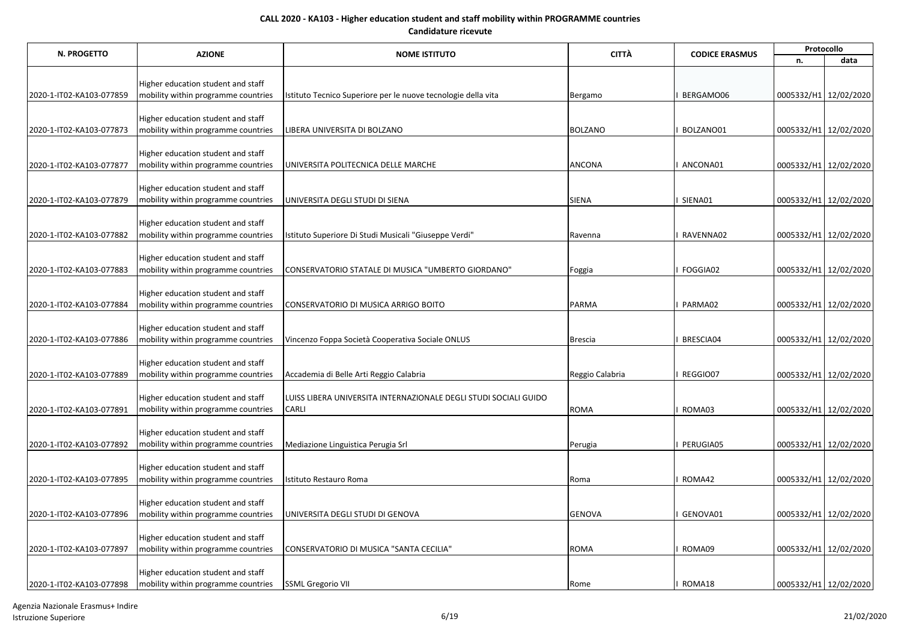| <b>N. PROGETTO</b>       | <b>AZIONE</b>                                                             | <b>NOME ISTITUTO</b>                                             | <b>CITTÀ</b>    | <b>CODICE ERASMUS</b> | Protocollo            |      |  |
|--------------------------|---------------------------------------------------------------------------|------------------------------------------------------------------|-----------------|-----------------------|-----------------------|------|--|
|                          |                                                                           |                                                                  |                 |                       | n.                    | data |  |
|                          |                                                                           |                                                                  |                 |                       |                       |      |  |
|                          | Higher education student and staff                                        |                                                                  |                 |                       |                       |      |  |
| 2020-1-IT02-KA103-077859 | mobility within programme countries                                       | Istituto Tecnico Superiore per le nuove tecnologie della vita    | Bergamo         | BERGAMO06             | 0005332/H1 12/02/2020 |      |  |
|                          | Higher education student and staff                                        |                                                                  |                 |                       |                       |      |  |
| 2020-1-IT02-KA103-077873 | mobility within programme countries                                       | LIBERA UNIVERSITA DI BOLZANO                                     | <b>BOLZANO</b>  | BOLZANO01             | 0005332/H1 12/02/2020 |      |  |
|                          |                                                                           |                                                                  |                 |                       |                       |      |  |
|                          | Higher education student and staff                                        |                                                                  |                 |                       |                       |      |  |
| 2020-1-IT02-KA103-077877 | mobility within programme countries                                       | UNIVERSITA POLITECNICA DELLE MARCHE                              | ANCONA          | ANCONA01              | 0005332/H1 12/02/2020 |      |  |
|                          |                                                                           |                                                                  |                 |                       |                       |      |  |
| 2020-1-IT02-KA103-077879 | Higher education student and staff<br>mobility within programme countries | UNIVERSITA DEGLI STUDI DI SIENA                                  | SIENA           | SIENA01               | 0005332/H1 12/02/2020 |      |  |
|                          |                                                                           |                                                                  |                 |                       |                       |      |  |
|                          | Higher education student and staff                                        |                                                                  |                 |                       |                       |      |  |
| 2020-1-IT02-KA103-077882 | mobility within programme countries                                       | Istituto Superiore Di Studi Musicali "Giuseppe Verdi"            | Ravenna         | RAVENNA02             | 0005332/H1 12/02/2020 |      |  |
|                          |                                                                           |                                                                  |                 |                       |                       |      |  |
|                          | Higher education student and staff                                        |                                                                  |                 |                       |                       |      |  |
| 2020-1-IT02-KA103-077883 | mobility within programme countries                                       | CONSERVATORIO STATALE DI MUSICA "UMBERTO GIORDANO"               | Foggia          | FOGGIA02              | 0005332/H1 12/02/2020 |      |  |
|                          | Higher education student and staff                                        |                                                                  |                 |                       |                       |      |  |
| 2020-1-IT02-KA103-077884 | mobility within programme countries                                       | CONSERVATORIO DI MUSICA ARRIGO BOITO                             | <b>PARMA</b>    | PARMA02               | 0005332/H1 12/02/2020 |      |  |
|                          |                                                                           |                                                                  |                 |                       |                       |      |  |
|                          | Higher education student and staff                                        |                                                                  |                 |                       |                       |      |  |
| 2020-1-IT02-KA103-077886 | mobility within programme countries                                       | Vincenzo Foppa Società Cooperativa Sociale ONLUS                 | <b>Brescia</b>  | BRESCIA04             | 0005332/H1 12/02/2020 |      |  |
|                          |                                                                           |                                                                  |                 |                       |                       |      |  |
| 2020-1-IT02-KA103-077889 | Higher education student and staff<br>mobility within programme countries | Accademia di Belle Arti Reggio Calabria                          | Reggio Calabria | REGGIO07              | 0005332/H1 12/02/2020 |      |  |
|                          |                                                                           |                                                                  |                 |                       |                       |      |  |
|                          | Higher education student and staff                                        | LUISS LIBERA UNIVERSITA INTERNAZIONALE DEGLI STUDI SOCIALI GUIDO |                 |                       |                       |      |  |
| 2020-1-IT02-KA103-077891 | mobility within programme countries                                       | CARLI                                                            | <b>ROMA</b>     | ROMA03                | 0005332/H1 12/02/2020 |      |  |
|                          |                                                                           |                                                                  |                 |                       |                       |      |  |
|                          | Higher education student and staff                                        |                                                                  |                 |                       |                       |      |  |
| 2020-1-IT02-KA103-077892 | mobility within programme countries                                       | Mediazione Linguistica Perugia Srl                               | Perugia         | PERUGIA05             | 0005332/H1 12/02/2020 |      |  |
|                          | Higher education student and staff                                        |                                                                  |                 |                       |                       |      |  |
| 2020-1-IT02-KA103-077895 | mobility within programme countries                                       | Istituto Restauro Roma                                           | Roma            | ROMA42                | 0005332/H1 12/02/2020 |      |  |
|                          |                                                                           |                                                                  |                 |                       |                       |      |  |
|                          | Higher education student and staff                                        |                                                                  |                 |                       |                       |      |  |
| 2020-1-IT02-KA103-077896 | mobility within programme countries                                       | UNIVERSITA DEGLI STUDI DI GENOVA                                 | <b>GENOVA</b>   | GENOVA01              | 0005332/H1 12/02/2020 |      |  |
|                          |                                                                           |                                                                  |                 |                       |                       |      |  |
| 2020-1-IT02-KA103-077897 | Higher education student and staff<br>mobility within programme countries | CONSERVATORIO DI MUSICA "SANTA CECILIA"                          | <b>ROMA</b>     | ROMA09                | 0005332/H1 12/02/2020 |      |  |
|                          |                                                                           |                                                                  |                 |                       |                       |      |  |
|                          | Higher education student and staff                                        |                                                                  |                 |                       |                       |      |  |
| 2020-1-IT02-KA103-077898 | mobility within programme countries                                       | <b>SSML Gregorio VII</b>                                         | Rome            | ROMA18                | 0005332/H1 12/02/2020 |      |  |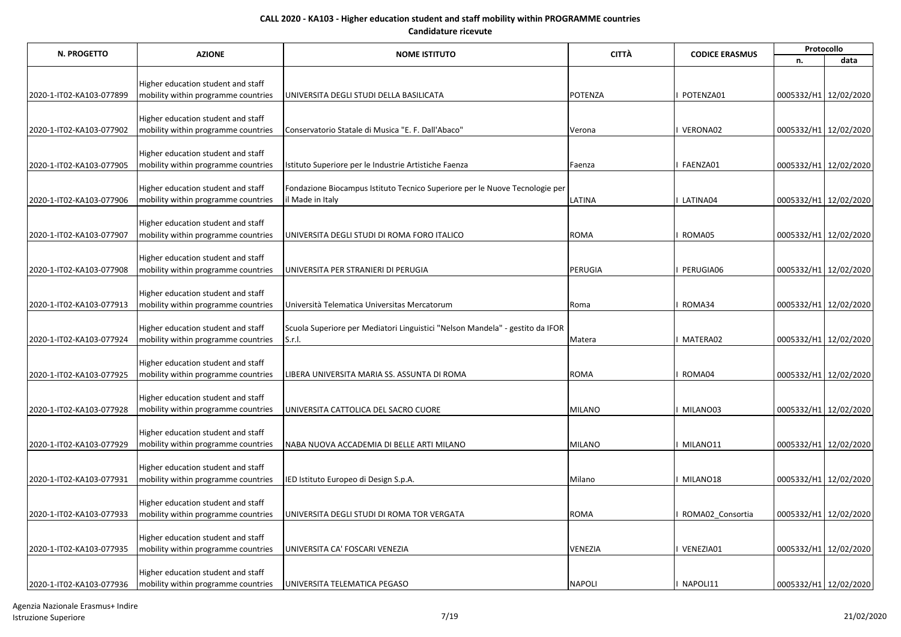| N. PROGETTO              | <b>AZIONE</b>                                                             | <b>NOME ISTITUTO</b>                                                                            | <b>CITTÀ</b>  | <b>CODICE ERASMUS</b> | Protocollo            |      |  |
|--------------------------|---------------------------------------------------------------------------|-------------------------------------------------------------------------------------------------|---------------|-----------------------|-----------------------|------|--|
|                          |                                                                           |                                                                                                 |               |                       | n.                    | data |  |
|                          |                                                                           |                                                                                                 |               |                       |                       |      |  |
|                          | Higher education student and staff                                        |                                                                                                 |               |                       |                       |      |  |
| 2020-1-IT02-KA103-077899 | mobility within programme countries                                       | UNIVERSITA DEGLI STUDI DELLA BASILICATA                                                         | POTENZA       | POTENZA01             | 0005332/H1 12/02/2020 |      |  |
|                          | Higher education student and staff                                        |                                                                                                 |               |                       |                       |      |  |
| 2020-1-IT02-KA103-077902 | mobility within programme countries                                       | Conservatorio Statale di Musica "E. F. Dall'Abaco"                                              | Verona        | VERONA02              | 0005332/H1 12/02/2020 |      |  |
|                          |                                                                           |                                                                                                 |               |                       |                       |      |  |
|                          | Higher education student and staff                                        |                                                                                                 |               |                       |                       |      |  |
| 2020-1-IT02-KA103-077905 | mobility within programme countries                                       | Istituto Superiore per le Industrie Artistiche Faenza                                           | Faenza        | FAENZA01              | 0005332/H1 12/02/2020 |      |  |
|                          |                                                                           |                                                                                                 |               |                       |                       |      |  |
| 2020-1-IT02-KA103-077906 | Higher education student and staff<br>mobility within programme countries | Fondazione Biocampus Istituto Tecnico Superiore per le Nuove Tecnologie per<br>il Made in Italy | LATINA        | LATINA04              | 0005332/H1 12/02/2020 |      |  |
|                          |                                                                           |                                                                                                 |               |                       |                       |      |  |
|                          | Higher education student and staff                                        |                                                                                                 |               |                       |                       |      |  |
| 2020-1-IT02-KA103-077907 | mobility within programme countries                                       | UNIVERSITA DEGLI STUDI DI ROMA FORO ITALICO                                                     | <b>ROMA</b>   | ROMA05                | 0005332/H1 12/02/2020 |      |  |
|                          |                                                                           |                                                                                                 |               |                       |                       |      |  |
|                          | Higher education student and staff                                        |                                                                                                 |               |                       |                       |      |  |
| 2020-1-IT02-KA103-077908 | mobility within programme countries                                       | UNIVERSITA PER STRANIERI DI PERUGIA                                                             | PERUGIA       | PERUGIA06             | 0005332/H1 12/02/2020 |      |  |
|                          | Higher education student and staff                                        |                                                                                                 |               |                       |                       |      |  |
| 2020-1-IT02-KA103-077913 | mobility within programme countries                                       | Università Telematica Universitas Mercatorum                                                    | Roma          | ROMA34                | 0005332/H1 12/02/2020 |      |  |
|                          |                                                                           |                                                                                                 |               |                       |                       |      |  |
|                          | Higher education student and staff                                        | Scuola Superiore per Mediatori Linguistici "Nelson Mandela" - gestito da IFOR                   |               |                       |                       |      |  |
| 2020-1-IT02-KA103-077924 | mobility within programme countries                                       | S.r.I.                                                                                          | Matera        | MATERA02              | 0005332/H1 12/02/2020 |      |  |
|                          |                                                                           |                                                                                                 |               |                       |                       |      |  |
| 2020-1-IT02-KA103-077925 | Higher education student and staff<br>mobility within programme countries | LIBERA UNIVERSITA MARIA SS. ASSUNTA DI ROMA                                                     | <b>ROMA</b>   | ROMA04                | 0005332/H1 12/02/2020 |      |  |
|                          |                                                                           |                                                                                                 |               |                       |                       |      |  |
|                          | Higher education student and staff                                        |                                                                                                 |               |                       |                       |      |  |
| 2020-1-IT02-KA103-077928 | mobility within programme countries                                       | UNIVERSITA CATTOLICA DEL SACRO CUORE                                                            | <b>MILANO</b> | MILANO03              | 0005332/H1 12/02/2020 |      |  |
|                          |                                                                           |                                                                                                 |               |                       |                       |      |  |
|                          | Higher education student and staff                                        |                                                                                                 |               |                       |                       |      |  |
| 2020-1-IT02-KA103-077929 | mobility within programme countries                                       | NABA NUOVA ACCADEMIA DI BELLE ARTI MILANO                                                       | <b>MILANO</b> | MILANO11              | 0005332/H1 12/02/2020 |      |  |
|                          | Higher education student and staff                                        |                                                                                                 |               |                       |                       |      |  |
| 2020-1-IT02-KA103-077931 | mobility within programme countries                                       | IED Istituto Europeo di Design S.p.A.                                                           | Milano        | MILANO18              | 0005332/H1 12/02/2020 |      |  |
|                          |                                                                           |                                                                                                 |               |                       |                       |      |  |
|                          | Higher education student and staff                                        |                                                                                                 |               |                       |                       |      |  |
| 2020-1-IT02-KA103-077933 | mobility within programme countries                                       | UNIVERSITA DEGLI STUDI DI ROMA TOR VERGATA                                                      | <b>ROMA</b>   | ROMA02_Consortia      | 0005332/H1 12/02/2020 |      |  |
|                          | Higher education student and staff                                        |                                                                                                 |               |                       |                       |      |  |
| 2020-1-IT02-KA103-077935 | mobility within programme countries                                       | UNIVERSITA CA' FOSCARI VENEZIA                                                                  | VENEZIA       | VENEZIA01             | 0005332/H1 12/02/2020 |      |  |
|                          |                                                                           |                                                                                                 |               |                       |                       |      |  |
|                          | Higher education student and staff                                        |                                                                                                 |               |                       |                       |      |  |
| 2020-1-IT02-KA103-077936 | mobility within programme countries                                       | UNIVERSITA TELEMATICA PEGASO                                                                    | <b>NAPOLI</b> | NAPOLI11              | 0005332/H1 12/02/2020 |      |  |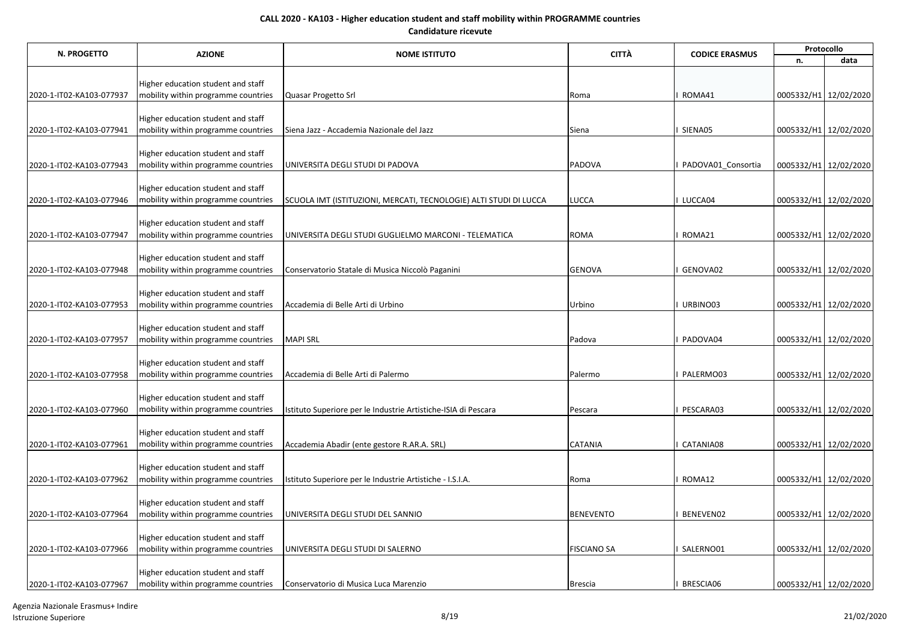| N. PROGETTO<br><b>AZIONE</b> | <b>NOME ISTITUTO</b>                                                      | <b>CITTÀ</b>                                                      | <b>CODICE ERASMUS</b> | Protocollo         |                       |                       |
|------------------------------|---------------------------------------------------------------------------|-------------------------------------------------------------------|-----------------------|--------------------|-----------------------|-----------------------|
|                              |                                                                           |                                                                   |                       |                    | n.                    | data                  |
|                              |                                                                           |                                                                   |                       |                    |                       |                       |
|                              | Higher education student and staff<br>mobility within programme countries | Quasar Progetto Srl                                               |                       | ROMA41             | 0005332/H1 12/02/2020 |                       |
| 2020-1-IT02-KA103-077937     |                                                                           |                                                                   | Roma                  |                    |                       |                       |
|                              | Higher education student and staff                                        |                                                                   |                       |                    |                       |                       |
| 2020-1-IT02-KA103-077941     | mobility within programme countries                                       | Siena Jazz - Accademia Nazionale del Jazz                         | Siena                 | SIENA05            |                       | 0005332/H1 12/02/2020 |
|                              |                                                                           |                                                                   |                       |                    |                       |                       |
|                              | Higher education student and staff                                        |                                                                   |                       |                    |                       |                       |
| 2020-1-IT02-KA103-077943     | mobility within programme countries                                       | UNIVERSITA DEGLI STUDI DI PADOVA                                  | PADOVA                | PADOVA01 Consortia |                       | 0005332/H1 12/02/2020 |
|                              | Higher education student and staff                                        |                                                                   |                       |                    |                       |                       |
| 2020-1-IT02-KA103-077946     | mobility within programme countries                                       | SCUOLA IMT (ISTITUZIONI, MERCATI, TECNOLOGIE) ALTI STUDI DI LUCCA | <b>LUCCA</b>          | LUCCA04            | 0005332/H1 12/02/2020 |                       |
|                              |                                                                           |                                                                   |                       |                    |                       |                       |
|                              | Higher education student and staff                                        |                                                                   |                       |                    |                       |                       |
| 2020-1-IT02-KA103-077947     | mobility within programme countries                                       | UNIVERSITA DEGLI STUDI GUGLIELMO MARCONI - TELEMATICA             | <b>ROMA</b>           | ROMA21             |                       | 0005332/H1 12/02/2020 |
|                              | Higher education student and staff                                        |                                                                   |                       |                    |                       |                       |
| 2020-1-IT02-KA103-077948     | mobility within programme countries                                       | Conservatorio Statale di Musica Niccolò Paganini                  | <b>GENOVA</b>         | GENOVA02           |                       | 0005332/H1 12/02/2020 |
|                              |                                                                           |                                                                   |                       |                    |                       |                       |
|                              | Higher education student and staff                                        |                                                                   |                       |                    |                       |                       |
| 2020-1-IT02-KA103-077953     | mobility within programme countries                                       | Accademia di Belle Arti di Urbino                                 | Urbino                | URBINO03           |                       | 0005332/H1 12/02/2020 |
|                              | Higher education student and staff                                        |                                                                   |                       |                    |                       |                       |
| 2020-1-IT02-KA103-077957     | mobility within programme countries                                       | <b>MAPI SRL</b>                                                   | Padova                | PADOVA04           |                       | 0005332/H1 12/02/2020 |
|                              |                                                                           |                                                                   |                       |                    |                       |                       |
|                              | Higher education student and staff                                        |                                                                   |                       |                    |                       |                       |
| 2020-1-IT02-KA103-077958     | mobility within programme countries                                       | Accademia di Belle Arti di Palermo                                | Palermo               | PALERMO03          |                       | 0005332/H1 12/02/2020 |
|                              | Higher education student and staff                                        |                                                                   |                       |                    |                       |                       |
| 2020-1-IT02-KA103-077960     | mobility within programme countries                                       | Istituto Superiore per le Industrie Artistiche-ISIA di Pescara    | Pescara               | PESCARA03          |                       | 0005332/H1 12/02/2020 |
|                              |                                                                           |                                                                   |                       |                    |                       |                       |
|                              | Higher education student and staff                                        |                                                                   |                       |                    |                       |                       |
| 2020-1-IT02-KA103-077961     | mobility within programme countries                                       | Accademia Abadir (ente gestore R.AR.A. SRL)                       | <b>CATANIA</b>        | CATANIA08          |                       | 0005332/H1 12/02/2020 |
|                              | Higher education student and staff                                        |                                                                   |                       |                    |                       |                       |
| 2020-1-IT02-KA103-077962     | mobility within programme countries                                       | Istituto Superiore per le Industrie Artistiche - I.S.I.A.         | Roma                  | ROMA12             | 0005332/H1 12/02/2020 |                       |
|                              |                                                                           |                                                                   |                       |                    |                       |                       |
|                              | Higher education student and staff                                        |                                                                   |                       |                    |                       |                       |
| 2020-1-IT02-KA103-077964     | mobility within programme countries                                       | UNIVERSITA DEGLI STUDI DEL SANNIO                                 | <b>BENEVENTO</b>      | BENEVEN02          | 0005332/H1 12/02/2020 |                       |
|                              |                                                                           |                                                                   |                       |                    |                       |                       |
| 2020-1-IT02-KA103-077966     | Higher education student and staff<br>mobility within programme countries | UNIVERSITA DEGLI STUDI DI SALERNO                                 | <b>FISCIANO SA</b>    | SALERNO01          |                       | 0005332/H1 12/02/2020 |
|                              |                                                                           |                                                                   |                       |                    |                       |                       |
|                              | Higher education student and staff                                        |                                                                   |                       |                    |                       |                       |
| 2020-1-IT02-KA103-077967     | mobility within programme countries                                       | Conservatorio di Musica Luca Marenzio                             | <b>Brescia</b>        | BRESCIA06          | 0005332/H1 12/02/2020 |                       |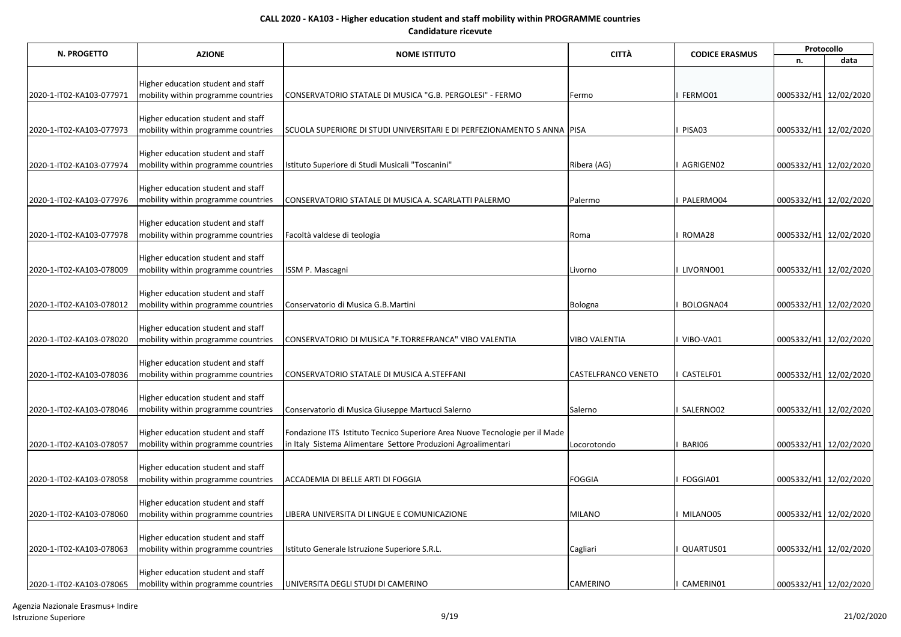| N. PROGETTO              | <b>AZIONE</b>                                                             | <b>NOME ISTITUTO</b>                                                        | <b>CITTÀ</b>         | <b>CODICE ERASMUS</b> | Protocollo            |      |  |
|--------------------------|---------------------------------------------------------------------------|-----------------------------------------------------------------------------|----------------------|-----------------------|-----------------------|------|--|
|                          |                                                                           |                                                                             |                      |                       | n.                    | data |  |
|                          |                                                                           |                                                                             |                      |                       |                       |      |  |
| 2020-1-IT02-KA103-077971 | Higher education student and staff<br>mobility within programme countries | CONSERVATORIO STATALE DI MUSICA "G.B. PERGOLESI" - FERMO                    | Fermo                | FERMO01               | 0005332/H1 12/02/2020 |      |  |
|                          |                                                                           |                                                                             |                      |                       |                       |      |  |
|                          | Higher education student and staff                                        |                                                                             |                      |                       |                       |      |  |
| 2020-1-IT02-KA103-077973 | mobility within programme countries                                       | SCUOLA SUPERIORE DI STUDI UNIVERSITARI E DI PERFEZIONAMENTO S ANNA          | <b>PISA</b>          | PISA03                | 0005332/H1 12/02/2020 |      |  |
|                          |                                                                           |                                                                             |                      |                       |                       |      |  |
| 2020-1-IT02-KA103-077974 | Higher education student and staff<br>mobility within programme countries |                                                                             | Ribera (AG)          | I AGRIGEN02           | 0005332/H1 12/02/2020 |      |  |
|                          |                                                                           | Istituto Superiore di Studi Musicali "Toscanini"                            |                      |                       |                       |      |  |
|                          | Higher education student and staff                                        |                                                                             |                      |                       |                       |      |  |
| 2020-1-IT02-KA103-077976 | mobility within programme countries                                       | CONSERVATORIO STATALE DI MUSICA A. SCARLATTI PALERMO                        | Palermo              | PALERMO04             | 0005332/H1 12/02/2020 |      |  |
|                          |                                                                           |                                                                             |                      |                       |                       |      |  |
|                          | Higher education student and staff                                        |                                                                             |                      |                       |                       |      |  |
| 2020-1-IT02-KA103-077978 | mobility within programme countries                                       | Facoltà valdese di teologia                                                 | Roma                 | ROMA28                | 0005332/H1 12/02/2020 |      |  |
|                          | Higher education student and staff                                        |                                                                             |                      |                       |                       |      |  |
| 2020-1-IT02-KA103-078009 | mobility within programme countries                                       | ISSM P. Mascagni                                                            | Livorno              | LIVORNO01             | 0005332/H1 12/02/2020 |      |  |
|                          |                                                                           |                                                                             |                      |                       |                       |      |  |
|                          | Higher education student and staff                                        |                                                                             |                      |                       |                       |      |  |
| 2020-1-IT02-KA103-078012 | mobility within programme countries                                       | Conservatorio di Musica G.B.Martini                                         | Bologna              | BOLOGNA04             | 0005332/H1 12/02/2020 |      |  |
|                          | Higher education student and staff                                        |                                                                             |                      |                       |                       |      |  |
| 2020-1-IT02-KA103-078020 | mobility within programme countries                                       | CONSERVATORIO DI MUSICA "F.TORREFRANCA" VIBO VALENTIA                       | <b>VIBO VALENTIA</b> | VIBO-VA01             | 0005332/H1 12/02/2020 |      |  |
|                          |                                                                           |                                                                             |                      |                       |                       |      |  |
|                          | Higher education student and staff                                        |                                                                             |                      |                       |                       |      |  |
| 2020-1-IT02-KA103-078036 | mobility within programme countries                                       | CONSERVATORIO STATALE DI MUSICA A.STEFFANI                                  | CASTELFRANCO VENETO  | CASTELF01             | 0005332/H1 12/02/2020 |      |  |
|                          | Higher education student and staff                                        |                                                                             |                      |                       |                       |      |  |
| 2020-1-IT02-KA103-078046 | mobility within programme countries                                       | Conservatorio di Musica Giuseppe Martucci Salerno                           | Salerno              | SALERNO02             | 0005332/H1 12/02/2020 |      |  |
|                          |                                                                           |                                                                             |                      |                       |                       |      |  |
|                          | Higher education student and staff                                        | Fondazione ITS Istituto Tecnico Superiore Area Nuove Tecnologie per il Made |                      |                       |                       |      |  |
| 2020-1-IT02-KA103-078057 | mobility within programme countries                                       | in Italy Sistema Alimentare Settore Produzioni Agroalimentari               | Locorotondo          | BARI06                | 0005332/H1 12/02/2020 |      |  |
|                          | Higher education student and staff                                        |                                                                             |                      |                       |                       |      |  |
| 2020-1-IT02-KA103-078058 | mobility within programme countries                                       | ACCADEMIA DI BELLE ARTI DI FOGGIA                                           | <b>FOGGIA</b>        | FOGGIA01              | 0005332/H1 12/02/2020 |      |  |
|                          |                                                                           |                                                                             |                      |                       |                       |      |  |
|                          | Higher education student and staff                                        |                                                                             |                      |                       |                       |      |  |
| 2020-1-IT02-KA103-078060 | mobility within programme countries                                       | LIBERA UNIVERSITA DI LINGUE E COMUNICAZIONE                                 | <b>MILANO</b>        | MILANO05              | 0005332/H1 12/02/2020 |      |  |
|                          | Higher education student and staff                                        |                                                                             |                      |                       |                       |      |  |
| 2020-1-IT02-KA103-078063 | mobility within programme countries                                       | Istituto Generale Istruzione Superiore S.R.L.                               | Cagliari             | QUARTUS01             | 0005332/H1 12/02/2020 |      |  |
|                          |                                                                           |                                                                             |                      |                       |                       |      |  |
|                          | Higher education student and staff                                        |                                                                             |                      |                       |                       |      |  |
| 2020-1-IT02-KA103-078065 | mobility within programme countries                                       | UNIVERSITA DEGLI STUDI DI CAMERINO                                          | <b>CAMERINO</b>      | CAMERIN01             | 0005332/H1 12/02/2020 |      |  |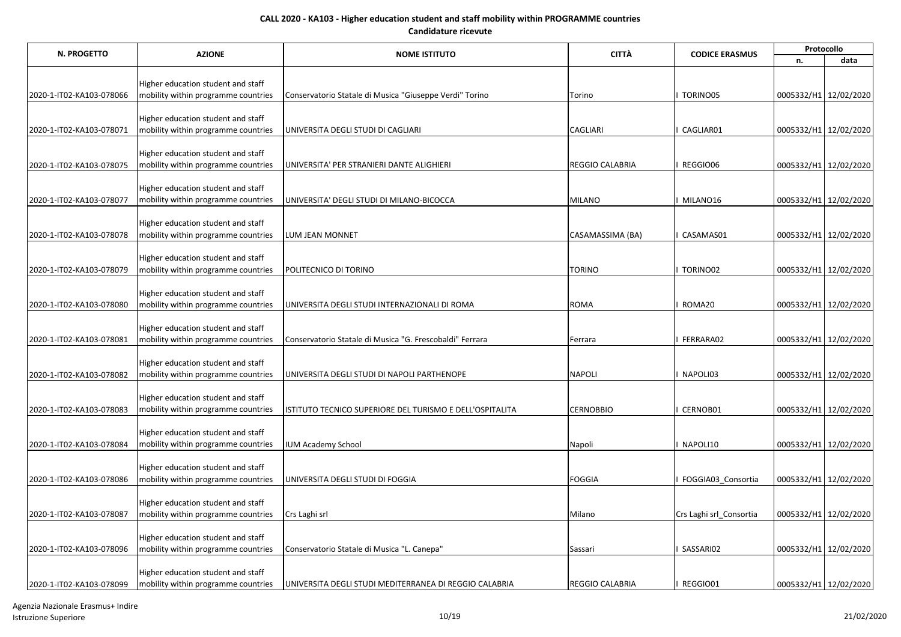|                          | <b>CITTÀ</b><br>N. PROGETTO<br><b>AZIONE</b><br><b>NOME ISTITUTO</b><br><b>CODICE ERASMUS</b> | Protocollo                                               |                        |                         |                       |                       |
|--------------------------|-----------------------------------------------------------------------------------------------|----------------------------------------------------------|------------------------|-------------------------|-----------------------|-----------------------|
|                          |                                                                                               |                                                          |                        |                         | n.                    | data                  |
|                          |                                                                                               |                                                          |                        |                         |                       |                       |
|                          | Higher education student and staff                                                            |                                                          |                        | TORINO05                |                       |                       |
| 2020-1-IT02-KA103-078066 | mobility within programme countries                                                           | Conservatorio Statale di Musica "Giuseppe Verdi" Torino  | Torino                 |                         |                       | 0005332/H1 12/02/2020 |
|                          | Higher education student and staff                                                            |                                                          |                        |                         |                       |                       |
| 2020-1-IT02-KA103-078071 | mobility within programme countries                                                           | UNIVERSITA DEGLI STUDI DI CAGLIARI                       | <b>CAGLIARI</b>        | CAGLIAR01               |                       | 0005332/H1 12/02/2020 |
|                          |                                                                                               |                                                          |                        |                         |                       |                       |
|                          | Higher education student and staff                                                            |                                                          |                        |                         |                       |                       |
| 2020-1-IT02-KA103-078075 | mobility within programme countries                                                           | UNIVERSITA' PER STRANIERI DANTE ALIGHIERI                | <b>REGGIO CALABRIA</b> | REGGIO06                |                       | 0005332/H1 12/02/2020 |
|                          | Higher education student and staff                                                            |                                                          |                        |                         |                       |                       |
| 2020-1-IT02-KA103-078077 | mobility within programme countries                                                           | UNIVERSITA' DEGLI STUDI DI MILANO-BICOCCA                | <b>MILANO</b>          | MILANO16                | 0005332/H1 12/02/2020 |                       |
|                          |                                                                                               |                                                          |                        |                         |                       |                       |
|                          | Higher education student and staff                                                            |                                                          |                        |                         |                       |                       |
| 2020-1-IT02-KA103-078078 | mobility within programme countries                                                           | LUM JEAN MONNET                                          | CASAMASSIMA (BA)       | CASAMAS01               |                       | 0005332/H1 12/02/2020 |
|                          | Higher education student and staff                                                            |                                                          |                        |                         |                       |                       |
| 2020-1-IT02-KA103-078079 | mobility within programme countries                                                           | POLITECNICO DI TORINO                                    | <b>TORINO</b>          | TORINO02                |                       | 0005332/H1 12/02/2020 |
|                          |                                                                                               |                                                          |                        |                         |                       |                       |
|                          | Higher education student and staff                                                            |                                                          |                        |                         |                       |                       |
| 2020-1-IT02-KA103-078080 | mobility within programme countries                                                           | UNIVERSITA DEGLI STUDI INTERNAZIONALI DI ROMA            | <b>ROMA</b>            | ROMA20                  | 0005332/H1 12/02/2020 |                       |
|                          | Higher education student and staff                                                            |                                                          |                        |                         |                       |                       |
| 2020-1-IT02-KA103-078081 | mobility within programme countries                                                           | Conservatorio Statale di Musica "G. Frescobaldi" Ferrara | Ferrara                | FERRARA02               |                       | 0005332/H1 12/02/2020 |
|                          |                                                                                               |                                                          |                        |                         |                       |                       |
|                          | Higher education student and staff                                                            |                                                          |                        |                         |                       |                       |
| 2020-1-IT02-KA103-078082 | mobility within programme countries                                                           | UNIVERSITA DEGLI STUDI DI NAPOLI PARTHENOPE              | <b>NAPOLI</b>          | NAPOLI03                | 0005332/H1 12/02/2020 |                       |
|                          | Higher education student and staff                                                            |                                                          |                        |                         |                       |                       |
| 2020-1-IT02-KA103-078083 | mobility within programme countries                                                           | ISTITUTO TECNICO SUPERIORE DEL TURISMO E DELL'OSPITALITA | <b>CERNOBBIO</b>       | CERNOB01                |                       | 0005332/H1 12/02/2020 |
|                          |                                                                                               |                                                          |                        |                         |                       |                       |
|                          | Higher education student and staff                                                            |                                                          |                        |                         |                       |                       |
| 2020-1-IT02-KA103-078084 | mobility within programme countries                                                           | <b>IUM Academy School</b>                                | Napoli                 | NAPOLI10                |                       | 0005332/H1 12/02/2020 |
|                          |                                                                                               |                                                          |                        |                         |                       |                       |
| 2020-1-IT02-KA103-078086 | Higher education student and staff<br>mobility within programme countries                     | UNIVERSITA DEGLI STUDI DI FOGGIA                         | <b>FOGGIA</b>          | FOGGIA03 Consortia      |                       | 0005332/H1 12/02/2020 |
|                          |                                                                                               |                                                          |                        |                         |                       |                       |
|                          | Higher education student and staff                                                            |                                                          |                        |                         |                       |                       |
| 2020-1-IT02-KA103-078087 | mobility within programme countries                                                           | Crs Laghi srl                                            | Milano                 | Crs Laghi srl_Consortia |                       | 0005332/H1 12/02/2020 |
|                          |                                                                                               |                                                          |                        |                         |                       |                       |
| 2020-1-IT02-KA103-078096 | Higher education student and staff<br>mobility within programme countries                     | Conservatorio Statale di Musica "L. Canepa"              | Sassari                | SASSARI02               |                       | 0005332/H1 12/02/2020 |
|                          |                                                                                               |                                                          |                        |                         |                       |                       |
|                          | Higher education student and staff                                                            |                                                          |                        |                         |                       |                       |
| 2020-1-IT02-KA103-078099 | mobility within programme countries                                                           | UNIVERSITA DEGLI STUDI MEDITERRANEA DI REGGIO CALABRIA   | <b>REGGIO CALABRIA</b> | I REGGIO01              | 0005332/H1 12/02/2020 |                       |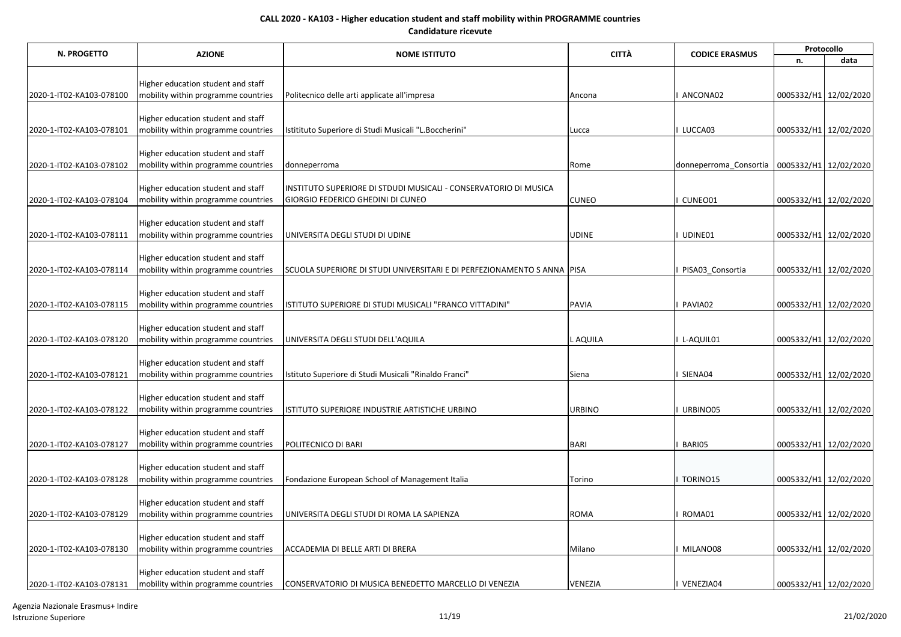| N. PROGETTO              | <b>AZIONE</b>                                                             | <b>NOME ISTITUTO</b>                                                    | <b>CITTÀ</b>  | <b>CODICE ERASMUS</b>  | Protocollo            |      |  |
|--------------------------|---------------------------------------------------------------------------|-------------------------------------------------------------------------|---------------|------------------------|-----------------------|------|--|
|                          |                                                                           |                                                                         |               |                        | n.                    | data |  |
|                          |                                                                           |                                                                         |               |                        |                       |      |  |
| 2020-1-IT02-KA103-078100 | Higher education student and staff<br>mobility within programme countries | Politecnico delle arti applicate all'impresa                            | Ancona        | ANCONA02               | 0005332/H1 12/02/2020 |      |  |
|                          |                                                                           |                                                                         |               |                        |                       |      |  |
|                          | Higher education student and staff                                        |                                                                         |               |                        |                       |      |  |
| 2020-1-IT02-KA103-078101 | mobility within programme countries                                       | Istitituto Superiore di Studi Musicali "L.Boccherini"                   | Lucca         | LUCCA03                | 0005332/H1 12/02/2020 |      |  |
|                          |                                                                           |                                                                         |               |                        |                       |      |  |
|                          | Higher education student and staff                                        |                                                                         |               |                        |                       |      |  |
| 2020-1-IT02-KA103-078102 | mobility within programme countries                                       | donneperroma                                                            | Rome          | donneperroma Consortia | 0005332/H1 12/02/2020 |      |  |
|                          | Higher education student and staff                                        | INSTITUTO SUPERIORE DI STDUDI MUSICALI - CONSERVATORIO DI MUSICA        |               |                        |                       |      |  |
| 2020-1-IT02-KA103-078104 | mobility within programme countries                                       | GIORGIO FEDERICO GHEDINI DI CUNEO                                       | <b>CUNEO</b>  | CUNEO01                | 0005332/H1 12/02/2020 |      |  |
|                          |                                                                           |                                                                         |               |                        |                       |      |  |
|                          | Higher education student and staff                                        |                                                                         |               |                        |                       |      |  |
| 2020-1-IT02-KA103-078111 | mobility within programme countries                                       | UNIVERSITA DEGLI STUDI DI UDINE                                         | <b>UDINE</b>  | UDINE01                | 0005332/H1 12/02/2020 |      |  |
|                          | Higher education student and staff                                        |                                                                         |               |                        |                       |      |  |
| 2020-1-IT02-KA103-078114 | mobility within programme countries                                       | SCUOLA SUPERIORE DI STUDI UNIVERSITARI E DI PERFEZIONAMENTO S ANNA PISA |               | PISA03_Consortia       | 0005332/H1 12/02/2020 |      |  |
|                          |                                                                           |                                                                         |               |                        |                       |      |  |
|                          | Higher education student and staff                                        |                                                                         |               |                        |                       |      |  |
| 2020-1-IT02-KA103-078115 | mobility within programme countries                                       | ISTITUTO SUPERIORE DI STUDI MUSICALI "FRANCO VITTADINI"                 | PAVIA         | PAVIA02                | 0005332/H1 12/02/2020 |      |  |
|                          | Higher education student and staff                                        |                                                                         |               |                        |                       |      |  |
| 2020-1-IT02-KA103-078120 | mobility within programme countries                                       | UNIVERSITA DEGLI STUDI DELL'AQUILA                                      | L AQUILA      | L-AQUIL01              | 0005332/H1 12/02/2020 |      |  |
|                          |                                                                           |                                                                         |               |                        |                       |      |  |
|                          | Higher education student and staff                                        |                                                                         |               |                        |                       |      |  |
| 2020-1-IT02-KA103-078121 | mobility within programme countries                                       | Istituto Superiore di Studi Musicali "Rinaldo Franci"                   | Siena         | SIENA04                | 0005332/H1 12/02/2020 |      |  |
|                          | Higher education student and staff                                        |                                                                         |               |                        |                       |      |  |
| 2020-1-IT02-KA103-078122 | mobility within programme countries                                       | ISTITUTO SUPERIORE INDUSTRIE ARTISTICHE URBINO                          | <b>URBINO</b> | URBINO05               | 0005332/H1 12/02/2020 |      |  |
|                          |                                                                           |                                                                         |               |                        |                       |      |  |
|                          | Higher education student and staff                                        |                                                                         |               |                        |                       |      |  |
| 2020-1-IT02-KA103-078127 | mobility within programme countries                                       | POLITECNICO DI BARI                                                     | <b>BARI</b>   | BARI05                 | 0005332/H1 12/02/2020 |      |  |
|                          |                                                                           |                                                                         |               |                        |                       |      |  |
| 2020-1-IT02-KA103-078128 | Higher education student and staff<br>mobility within programme countries | Fondazione European School of Management Italia                         | Torino        | TORINO15               | 0005332/H1 12/02/2020 |      |  |
|                          |                                                                           |                                                                         |               |                        |                       |      |  |
|                          | Higher education student and staff                                        |                                                                         |               |                        |                       |      |  |
| 2020-1-IT02-KA103-078129 | mobility within programme countries                                       | UNIVERSITA DEGLI STUDI DI ROMA LA SAPIENZA                              | <b>ROMA</b>   | ROMA01                 | 0005332/H1 12/02/2020 |      |  |
|                          |                                                                           |                                                                         |               |                        |                       |      |  |
|                          | Higher education student and staff                                        |                                                                         |               |                        |                       |      |  |
| 2020-1-IT02-KA103-078130 | mobility within programme countries                                       | ACCADEMIA DI BELLE ARTI DI BRERA                                        | Milano        | MILANO08               | 0005332/H1 12/02/2020 |      |  |
|                          | Higher education student and staff                                        |                                                                         |               |                        |                       |      |  |
| 2020-1-IT02-KA103-078131 | mobility within programme countries                                       | CONSERVATORIO DI MUSICA BENEDETTO MARCELLO DI VENEZIA                   | VENEZIA       | I VENEZIA04            | 0005332/H1 12/02/2020 |      |  |

Agenzia Nazionale Erasmus+ Indire Istruzione Superiore 21/02/2020 201/02/2020 201/02/2020 21/02/2020 21/02/2020 21/02/2020 21/02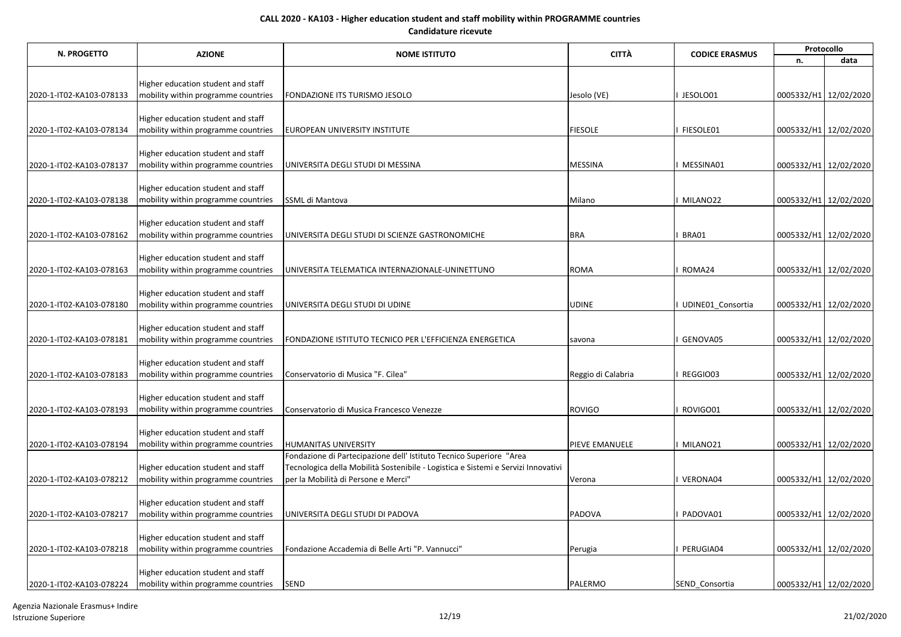| N. PROGETTO              | <b>AZIONE</b>                                                             | <b>NOME ISTITUTO</b>                                                              | <b>CITTÀ</b>       | <b>CODICE ERASMUS</b> | Protocollo            |      |  |
|--------------------------|---------------------------------------------------------------------------|-----------------------------------------------------------------------------------|--------------------|-----------------------|-----------------------|------|--|
|                          |                                                                           |                                                                                   |                    |                       | n.                    | data |  |
|                          |                                                                           |                                                                                   |                    |                       |                       |      |  |
|                          | Higher education student and staff                                        |                                                                                   |                    |                       |                       |      |  |
| 2020-1-IT02-KA103-078133 | mobility within programme countries                                       | FONDAZIONE ITS TURISMO JESOLO                                                     | Jesolo (VE)        | JESOLO01              | 0005332/H1 12/02/2020 |      |  |
|                          | Higher education student and staff                                        |                                                                                   |                    |                       |                       |      |  |
| 2020-1-IT02-KA103-078134 | mobility within programme countries                                       | EUROPEAN UNIVERSITY INSTITUTE                                                     | <b>FIESOLE</b>     | FIESOLE01             | 0005332/H1 12/02/2020 |      |  |
|                          |                                                                           |                                                                                   |                    |                       |                       |      |  |
|                          | Higher education student and staff                                        |                                                                                   |                    |                       |                       |      |  |
| 2020-1-IT02-KA103-078137 | mobility within programme countries                                       | UNIVERSITA DEGLI STUDI DI MESSINA                                                 | MESSINA            | MESSINA01             | 0005332/H1 12/02/2020 |      |  |
|                          |                                                                           |                                                                                   |                    |                       |                       |      |  |
|                          | Higher education student and staff                                        |                                                                                   |                    |                       |                       |      |  |
| 2020-1-IT02-KA103-078138 | mobility within programme countries                                       | SSML di Mantova                                                                   | Milano             | MILANO22              | 0005332/H1 12/02/2020 |      |  |
|                          | Higher education student and staff                                        |                                                                                   |                    |                       |                       |      |  |
| 2020-1-IT02-KA103-078162 | mobility within programme countries                                       | UNIVERSITA DEGLI STUDI DI SCIENZE GASTRONOMICHE                                   | <b>BRA</b>         | BRA01                 | 0005332/H1 12/02/2020 |      |  |
|                          |                                                                           |                                                                                   |                    |                       |                       |      |  |
|                          | Higher education student and staff                                        |                                                                                   |                    |                       |                       |      |  |
| 2020-1-IT02-KA103-078163 | mobility within programme countries                                       | UNIVERSITA TELEMATICA INTERNAZIONALE-UNINETTUNO                                   | <b>ROMA</b>        | ROMA24                | 0005332/H1 12/02/2020 |      |  |
|                          |                                                                           |                                                                                   |                    |                       |                       |      |  |
|                          | Higher education student and staff                                        |                                                                                   |                    |                       |                       |      |  |
| 2020-1-IT02-KA103-078180 | mobility within programme countries                                       | UNIVERSITA DEGLI STUDI DI UDINE                                                   | <b>UDINE</b>       | UDINE01 Consortia     | 0005332/H1 12/02/2020 |      |  |
|                          | Higher education student and staff                                        |                                                                                   |                    |                       |                       |      |  |
| 2020-1-IT02-KA103-078181 | mobility within programme countries                                       | FONDAZIONE ISTITUTO TECNICO PER L'EFFICIENZA ENERGETICA                           | savona             | GENOVA05              | 0005332/H1 12/02/2020 |      |  |
|                          |                                                                           |                                                                                   |                    |                       |                       |      |  |
|                          | Higher education student and staff                                        |                                                                                   |                    |                       |                       |      |  |
| 2020-1-IT02-KA103-078183 | mobility within programme countries                                       | Conservatorio di Musica "F. Cilea"                                                | Reggio di Calabria | REGGIO03              | 0005332/H1 12/02/2020 |      |  |
|                          |                                                                           |                                                                                   |                    |                       |                       |      |  |
|                          | Higher education student and staff                                        |                                                                                   |                    |                       |                       |      |  |
| 2020-1-IT02-KA103-078193 | mobility within programme countries                                       | Conservatorio di Musica Francesco Venezze                                         | <b>ROVIGO</b>      | ROVIGO01              | 0005332/H1 12/02/2020 |      |  |
|                          | Higher education student and staff                                        |                                                                                   |                    |                       |                       |      |  |
| 2020-1-IT02-KA103-078194 | mobility within programme countries                                       | HUMANITAS UNIVERSITY                                                              | PIEVE EMANUELE     | MILANO21              | 0005332/H1 12/02/2020 |      |  |
|                          |                                                                           | Fondazione di Partecipazione dell' Istituto Tecnico Superiore "Area               |                    |                       |                       |      |  |
|                          | Higher education student and staff                                        | Tecnologica della Mobilità Sostenibile - Logistica e Sistemi e Servizi Innovativi |                    |                       |                       |      |  |
| 2020-1-IT02-KA103-078212 | mobility within programme countries                                       | per la Mobilità di Persone e Merci"                                               | Verona             | VERONA04              | 0005332/H1 12/02/2020 |      |  |
|                          |                                                                           |                                                                                   |                    |                       |                       |      |  |
|                          | Higher education student and staff                                        |                                                                                   |                    |                       |                       |      |  |
| 2020-1-IT02-KA103-078217 | mobility within programme countries                                       | UNIVERSITA DEGLI STUDI DI PADOVA                                                  | PADOVA             | PADOVA01              | 0005332/H1 12/02/2020 |      |  |
|                          |                                                                           |                                                                                   |                    |                       |                       |      |  |
| 2020-1-IT02-KA103-078218 | Higher education student and staff<br>mobility within programme countries | Fondazione Accademia di Belle Arti "P. Vannucci"                                  | Perugia            | PERUGIA04             | 0005332/H1 12/02/2020 |      |  |
|                          |                                                                           |                                                                                   |                    |                       |                       |      |  |
|                          | Higher education student and staff                                        |                                                                                   |                    |                       |                       |      |  |
| 2020-1-IT02-KA103-078224 | mobility within programme countries                                       | <b>SEND</b>                                                                       | <b>PALERMO</b>     | <b>SEND Consortia</b> | 0005332/H1 12/02/2020 |      |  |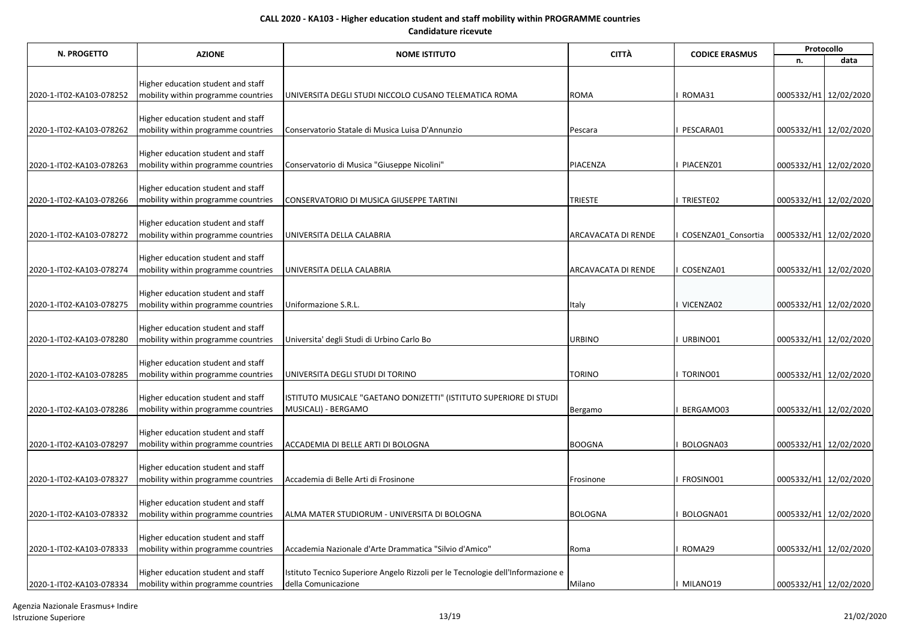| N. PROGETTO              | <b>AZIONE</b>                                                             | <b>NOME ISTITUTO</b>                                                            | <b>CITTÀ</b>        | <b>CODICE ERASMUS</b> | Protocollo            |      |  |
|--------------------------|---------------------------------------------------------------------------|---------------------------------------------------------------------------------|---------------------|-----------------------|-----------------------|------|--|
|                          |                                                                           |                                                                                 |                     |                       | n.                    | data |  |
|                          |                                                                           |                                                                                 |                     |                       |                       |      |  |
| 2020-1-IT02-KA103-078252 | Higher education student and staff<br>mobility within programme countries | UNIVERSITA DEGLI STUDI NICCOLO CUSANO TELEMATICA ROMA                           | <b>ROMA</b>         | ROMA31                | 0005332/H1 12/02/2020 |      |  |
|                          |                                                                           |                                                                                 |                     |                       |                       |      |  |
|                          | Higher education student and staff                                        |                                                                                 |                     |                       |                       |      |  |
| 2020-1-IT02-KA103-078262 | mobility within programme countries                                       | Conservatorio Statale di Musica Luisa D'Annunzio                                | Pescara             | PESCARA01             | 0005332/H1 12/02/2020 |      |  |
|                          |                                                                           |                                                                                 |                     |                       |                       |      |  |
| 2020-1-IT02-KA103-078263 | Higher education student and staff<br>mobility within programme countries | Conservatorio di Musica "Giuseppe Nicolini"                                     | PIACENZA            | PIACENZ01             | 0005332/H1 12/02/2020 |      |  |
|                          |                                                                           |                                                                                 |                     |                       |                       |      |  |
|                          | Higher education student and staff                                        |                                                                                 |                     |                       |                       |      |  |
| 2020-1-IT02-KA103-078266 | mobility within programme countries                                       | CONSERVATORIO DI MUSICA GIUSEPPE TARTINI                                        | <b>TRIESTE</b>      | TRIESTE02             | 0005332/H1 12/02/2020 |      |  |
|                          |                                                                           |                                                                                 |                     |                       |                       |      |  |
| 2020-1-IT02-KA103-078272 | Higher education student and staff<br>mobility within programme countries | UNIVERSITA DELLA CALABRIA                                                       | ARCAVACATA DI RENDE | COSENZA01 Consortia   | 0005332/H1 12/02/2020 |      |  |
|                          |                                                                           |                                                                                 |                     |                       |                       |      |  |
|                          | Higher education student and staff                                        |                                                                                 |                     |                       |                       |      |  |
| 2020-1-IT02-KA103-078274 | mobility within programme countries                                       | UNIVERSITA DELLA CALABRIA                                                       | ARCAVACATA DI RENDE | COSENZA01             | 0005332/H1 12/02/2020 |      |  |
|                          | Higher education student and staff                                        |                                                                                 |                     |                       |                       |      |  |
| 2020-1-IT02-KA103-078275 | mobility within programme countries                                       | Uniformazione S.R.L.                                                            | Italy               | VICENZA02             | 0005332/H1 12/02/2020 |      |  |
|                          |                                                                           |                                                                                 |                     |                       |                       |      |  |
|                          | Higher education student and staff                                        |                                                                                 |                     |                       |                       |      |  |
| 2020-1-IT02-KA103-078280 | mobility within programme countries                                       | Universita' degli Studi di Urbino Carlo Bo                                      | <b>URBINO</b>       | URBINO01              | 0005332/H1 12/02/2020 |      |  |
|                          | Higher education student and staff                                        |                                                                                 |                     |                       |                       |      |  |
| 2020-1-IT02-KA103-078285 | mobility within programme countries                                       | UNIVERSITA DEGLI STUDI DI TORINO                                                | <b>TORINO</b>       | TORINO01              | 0005332/H1 12/02/2020 |      |  |
|                          |                                                                           |                                                                                 |                     |                       |                       |      |  |
|                          | Higher education student and staff                                        | ISTITUTO MUSICALE "GAETANO DONIZETTI" (ISTITUTO SUPERIORE DI STUDI              |                     |                       |                       |      |  |
| 2020-1-IT02-KA103-078286 | mobility within programme countries                                       | MUSICALI) - BERGAMO                                                             | Bergamo             | BERGAMO03             | 0005332/H1 12/02/2020 |      |  |
|                          | Higher education student and staff                                        |                                                                                 |                     |                       |                       |      |  |
| 2020-1-IT02-KA103-078297 | mobility within programme countries                                       | ACCADEMIA DI BELLE ARTI DI BOLOGNA                                              | <b>BOOGNA</b>       | BOLOGNA03             | 0005332/H1 12/02/2020 |      |  |
|                          |                                                                           |                                                                                 |                     |                       |                       |      |  |
|                          | Higher education student and staff                                        |                                                                                 |                     |                       |                       |      |  |
| 2020-1-IT02-KA103-078327 | mobility within programme countries                                       | Accademia di Belle Arti di Frosinone                                            | Frosinone           | FROSINO01             | 0005332/H1 12/02/2020 |      |  |
|                          | Higher education student and staff                                        |                                                                                 |                     |                       |                       |      |  |
| 2020-1-IT02-KA103-078332 | mobility within programme countries                                       | ALMA MATER STUDIORUM - UNIVERSITA DI BOLOGNA                                    | <b>BOLOGNA</b>      | BOLOGNA01             | 0005332/H1 12/02/2020 |      |  |
|                          |                                                                           |                                                                                 |                     |                       |                       |      |  |
|                          | Higher education student and staff                                        |                                                                                 |                     |                       |                       |      |  |
| 2020-1-IT02-KA103-078333 | mobility within programme countries                                       | Accademia Nazionale d'Arte Drammatica "Silvio d'Amico"                          | Roma                | ROMA29                | 0005332/H1 12/02/2020 |      |  |
|                          | Higher education student and staff                                        | Istituto Tecnico Superiore Angelo Rizzoli per le Tecnologie dell'Informazione e |                     |                       |                       |      |  |
| 2020-1-IT02-KA103-078334 | mobility within programme countries                                       | della Comunicazione                                                             | Milano              | I MILANO19            | 0005332/H1 12/02/2020 |      |  |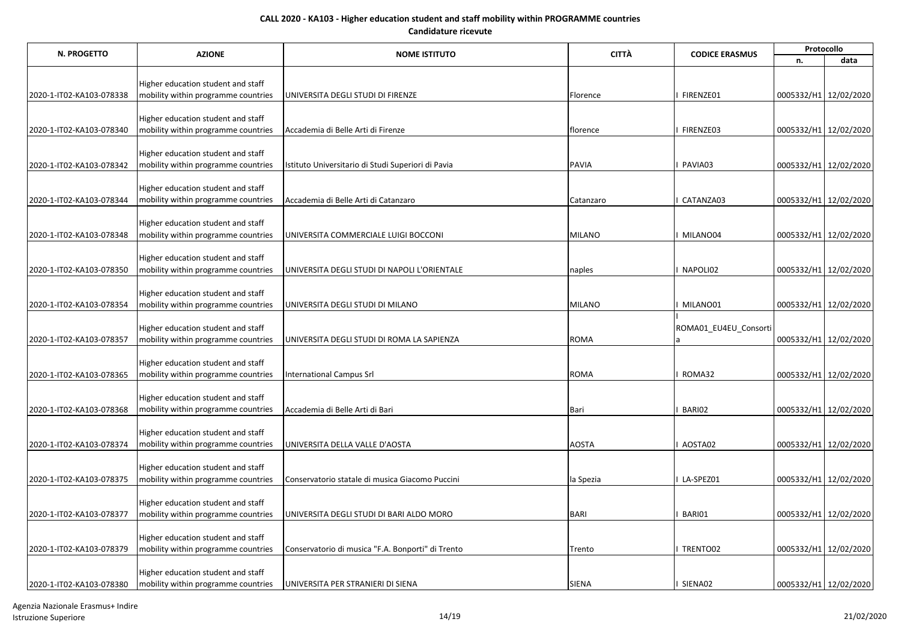| N. PROGETTO              | <b>AZIONE</b>                                                             | <b>NOME ISTITUTO</b>                               | <b>CITTÀ</b>  | <b>CODICE ERASMUS</b> | Protocollo            |                       |  |
|--------------------------|---------------------------------------------------------------------------|----------------------------------------------------|---------------|-----------------------|-----------------------|-----------------------|--|
|                          |                                                                           |                                                    |               |                       | n.                    | data                  |  |
|                          |                                                                           |                                                    |               |                       |                       |                       |  |
| 2020-1-IT02-KA103-078338 | Higher education student and staff<br>mobility within programme countries | UNIVERSITA DEGLI STUDI DI FIRENZE                  | Florence      | FIRENZE01             |                       | 0005332/H1 12/02/2020 |  |
|                          |                                                                           |                                                    |               |                       |                       |                       |  |
|                          | Higher education student and staff                                        |                                                    |               |                       |                       |                       |  |
| 2020-1-IT02-KA103-078340 | mobility within programme countries                                       | Accademia di Belle Arti di Firenze                 | florence      | FIRENZE03             |                       | 0005332/H1 12/02/2020 |  |
|                          |                                                                           |                                                    |               |                       |                       |                       |  |
| 2020-1-IT02-KA103-078342 | Higher education student and staff<br>mobility within programme countries | Istituto Universitario di Studi Superiori di Pavia | <b>PAVIA</b>  | PAVIA03               |                       | 0005332/H1 12/02/2020 |  |
|                          |                                                                           |                                                    |               |                       |                       |                       |  |
|                          | Higher education student and staff                                        |                                                    |               |                       |                       |                       |  |
| 2020-1-IT02-KA103-078344 | mobility within programme countries                                       | Accademia di Belle Arti di Catanzaro               | Catanzaro     | CATANZA03             |                       | 0005332/H1 12/02/2020 |  |
|                          |                                                                           |                                                    |               |                       |                       |                       |  |
|                          | Higher education student and staff                                        | UNIVERSITA COMMERCIALE LUIGI BOCCONI               | <b>MILANO</b> | MILANO04              |                       |                       |  |
| 2020-1-IT02-KA103-078348 | mobility within programme countries                                       |                                                    |               |                       |                       | 0005332/H1 12/02/2020 |  |
|                          | Higher education student and staff                                        |                                                    |               |                       |                       |                       |  |
| 2020-1-IT02-KA103-078350 | mobility within programme countries                                       | UNIVERSITA DEGLI STUDI DI NAPOLI L'ORIENTALE       | naples        | NAPOLI02              |                       | 0005332/H1 12/02/2020 |  |
|                          |                                                                           |                                                    |               |                       |                       |                       |  |
|                          | Higher education student and staff                                        |                                                    |               |                       |                       |                       |  |
| 2020-1-IT02-KA103-078354 | mobility within programme countries                                       | UNIVERSITA DEGLI STUDI DI MILANO                   | <b>MILANO</b> | MILANO01              |                       | 0005332/H1 12/02/2020 |  |
|                          | Higher education student and staff                                        |                                                    |               | ROMA01_EU4EU_Consorti |                       |                       |  |
| 2020-1-IT02-KA103-078357 | mobility within programme countries                                       | UNIVERSITA DEGLI STUDI DI ROMA LA SAPIENZA         | <b>ROMA</b>   |                       |                       | 0005332/H1 12/02/2020 |  |
|                          |                                                                           |                                                    |               |                       |                       |                       |  |
|                          | Higher education student and staff                                        |                                                    |               |                       |                       |                       |  |
| 2020-1-IT02-KA103-078365 | mobility within programme countries                                       | International Campus Srl                           | <b>ROMA</b>   | ROMA32                |                       | 0005332/H1 12/02/2020 |  |
|                          | Higher education student and staff                                        |                                                    |               |                       |                       |                       |  |
| 2020-1-IT02-KA103-078368 | mobility within programme countries                                       | Accademia di Belle Arti di Bari                    | Bari          | BARI02                |                       | 0005332/H1 12/02/2020 |  |
|                          |                                                                           |                                                    |               |                       |                       |                       |  |
|                          | Higher education student and staff                                        |                                                    |               |                       |                       |                       |  |
| 2020-1-IT02-KA103-078374 | mobility within programme countries                                       | UNIVERSITA DELLA VALLE D'AOSTA                     | <b>AOSTA</b>  | AOSTA02               |                       | 0005332/H1 12/02/2020 |  |
|                          | Higher education student and staff                                        |                                                    |               |                       |                       |                       |  |
| 2020-1-IT02-KA103-078375 | mobility within programme countries                                       | Conservatorio statale di musica Giacomo Puccini    | la Spezia     | LA-SPEZ01             |                       | 0005332/H1 12/02/2020 |  |
|                          |                                                                           |                                                    |               |                       |                       |                       |  |
|                          | Higher education student and staff                                        |                                                    |               |                       |                       |                       |  |
| 2020-1-IT02-KA103-078377 | mobility within programme countries                                       | UNIVERSITA DEGLI STUDI DI BARI ALDO MORO           | <b>BARI</b>   | BARI01                | 0005332/H1 12/02/2020 |                       |  |
|                          | Higher education student and staff                                        |                                                    |               |                       |                       |                       |  |
| 2020-1-IT02-KA103-078379 | mobility within programme countries                                       | Conservatorio di musica "F.A. Bonporti" di Trento  | Trento        | TRENTO02              |                       | 0005332/H1 12/02/2020 |  |
|                          |                                                                           |                                                    |               |                       |                       |                       |  |
|                          | Higher education student and staff                                        |                                                    |               |                       |                       |                       |  |
| 2020-1-IT02-KA103-078380 | mobility within programme countries                                       | UNIVERSITA PER STRANIERI DI SIENA                  | <b>SIENA</b>  | SIENA02               | 0005332/H1 12/02/2020 |                       |  |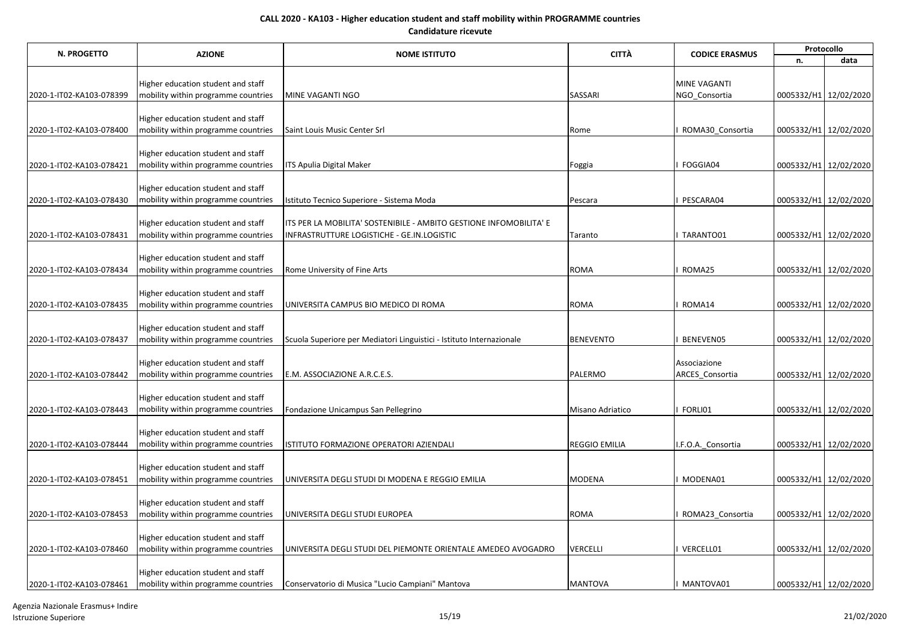| N. PROGETTO              | <b>AZIONE</b>                                                             | <b>NOME ISTITUTO</b>                                                 | <b>CITTÀ</b>         | <b>CODICE ERASMUS</b> | Protocollo            |      |  |
|--------------------------|---------------------------------------------------------------------------|----------------------------------------------------------------------|----------------------|-----------------------|-----------------------|------|--|
|                          |                                                                           |                                                                      |                      |                       | n.                    | data |  |
|                          |                                                                           |                                                                      |                      |                       |                       |      |  |
|                          | Higher education student and staff                                        |                                                                      |                      | <b>MINE VAGANTI</b>   |                       |      |  |
| 2020-1-IT02-KA103-078399 | mobility within programme countries                                       | MINE VAGANTI NGO                                                     | SASSARI              | NGO Consortia         | 0005332/H1 12/02/2020 |      |  |
|                          | Higher education student and staff                                        |                                                                      |                      |                       |                       |      |  |
| 2020-1-IT02-KA103-078400 | mobility within programme countries                                       | Saint Louis Music Center Srl                                         | Rome                 | ROMA30 Consortia      | 0005332/H1 12/02/2020 |      |  |
|                          |                                                                           |                                                                      |                      |                       |                       |      |  |
|                          | Higher education student and staff                                        |                                                                      |                      |                       |                       |      |  |
| 2020-1-IT02-KA103-078421 | mobility within programme countries                                       | ITS Apulia Digital Maker                                             | Foggia               | FOGGIA04              | 0005332/H1 12/02/2020 |      |  |
|                          |                                                                           |                                                                      |                      |                       |                       |      |  |
|                          | Higher education student and staff                                        |                                                                      |                      |                       |                       |      |  |
| 2020-1-IT02-KA103-078430 | mobility within programme countries                                       | Istituto Tecnico Superiore - Sistema Moda                            | Pescara              | PESCARA04             | 0005332/H1 12/02/2020 |      |  |
|                          |                                                                           |                                                                      |                      |                       |                       |      |  |
|                          | Higher education student and staff                                        | ITS PER LA MOBILITA' SOSTENIBILE - AMBITO GESTIONE INFOMOBILITA' E   |                      |                       |                       |      |  |
| 2020-1-IT02-KA103-078431 | mobility within programme countries                                       | INFRASTRUTTURE LOGISTICHE - GE.IN.LOGISTIC                           | Taranto              | TARANTO01             | 0005332/H1 12/02/2020 |      |  |
|                          |                                                                           |                                                                      |                      |                       |                       |      |  |
|                          | Higher education student and staff                                        |                                                                      |                      |                       |                       |      |  |
| 2020-1-IT02-KA103-078434 | mobility within programme countries                                       | Rome University of Fine Arts                                         | <b>ROMA</b>          | ROMA25                | 0005332/H1 12/02/2020 |      |  |
|                          | Higher education student and staff                                        |                                                                      |                      |                       |                       |      |  |
| 2020-1-IT02-KA103-078435 | mobility within programme countries                                       | UNIVERSITA CAMPUS BIO MEDICO DI ROMA                                 | <b>ROMA</b>          | ROMA14                | 0005332/H1 12/02/2020 |      |  |
|                          |                                                                           |                                                                      |                      |                       |                       |      |  |
|                          | Higher education student and staff                                        |                                                                      |                      |                       |                       |      |  |
| 2020-1-IT02-KA103-078437 | mobility within programme countries                                       | Scuola Superiore per Mediatori Linguistici - Istituto Internazionale | <b>BENEVENTO</b>     | BENEVEN05             | 0005332/H1 12/02/2020 |      |  |
|                          |                                                                           |                                                                      |                      |                       |                       |      |  |
|                          | Higher education student and staff                                        |                                                                      |                      | Associazione          |                       |      |  |
| 2020-1-IT02-KA103-078442 | mobility within programme countries                                       | E.M. ASSOCIAZIONE A.R.C.E.S.                                         | PALERMO              | ARCES Consortia       | 0005332/H1 12/02/2020 |      |  |
|                          |                                                                           |                                                                      |                      |                       |                       |      |  |
|                          | Higher education student and staff                                        |                                                                      |                      |                       |                       |      |  |
| 2020-1-IT02-KA103-078443 | mobility within programme countries                                       | Fondazione Unicampus San Pellegrino                                  | Misano Adriatico     | FORLI01               | 0005332/H1 12/02/2020 |      |  |
|                          |                                                                           |                                                                      |                      |                       |                       |      |  |
| 2020-1-IT02-KA103-078444 | Higher education student and staff<br>mobility within programme countries | ISTITUTO FORMAZIONE OPERATORI AZIENDALI                              | <b>REGGIO EMILIA</b> | I.F.O.A. Consortia    | 0005332/H1 12/02/2020 |      |  |
|                          |                                                                           |                                                                      |                      |                       |                       |      |  |
|                          | Higher education student and staff                                        |                                                                      |                      |                       |                       |      |  |
| 2020-1-IT02-KA103-078451 | mobility within programme countries                                       | UNIVERSITA DEGLI STUDI DI MODENA E REGGIO EMILIA                     | <b>MODENA</b>        | MODENA01              | 0005332/H1 12/02/2020 |      |  |
|                          |                                                                           |                                                                      |                      |                       |                       |      |  |
|                          | Higher education student and staff                                        |                                                                      |                      |                       |                       |      |  |
| 2020-1-IT02-KA103-078453 | mobility within programme countries                                       | UNIVERSITA DEGLI STUDI EUROPEA                                       | <b>ROMA</b>          | ROMA23 Consortia      | 0005332/H1 12/02/2020 |      |  |
|                          |                                                                           |                                                                      |                      |                       |                       |      |  |
|                          | Higher education student and staff                                        |                                                                      |                      |                       |                       |      |  |
| 2020-1-IT02-KA103-078460 | mobility within programme countries                                       | UNIVERSITA DEGLI STUDI DEL PIEMONTE ORIENTALE AMEDEO AVOGADRO        | <b>VERCELLI</b>      | VERCELL01             | 0005332/H1 12/02/2020 |      |  |
|                          |                                                                           |                                                                      |                      |                       |                       |      |  |
|                          | Higher education student and staff                                        |                                                                      |                      |                       |                       |      |  |
| 2020-1-IT02-KA103-078461 | mobility within programme countries                                       | Conservatorio di Musica "Lucio Campiani" Mantova                     | <b>MANTOVA</b>       | MANTOVA01             | 0005332/H1 12/02/2020 |      |  |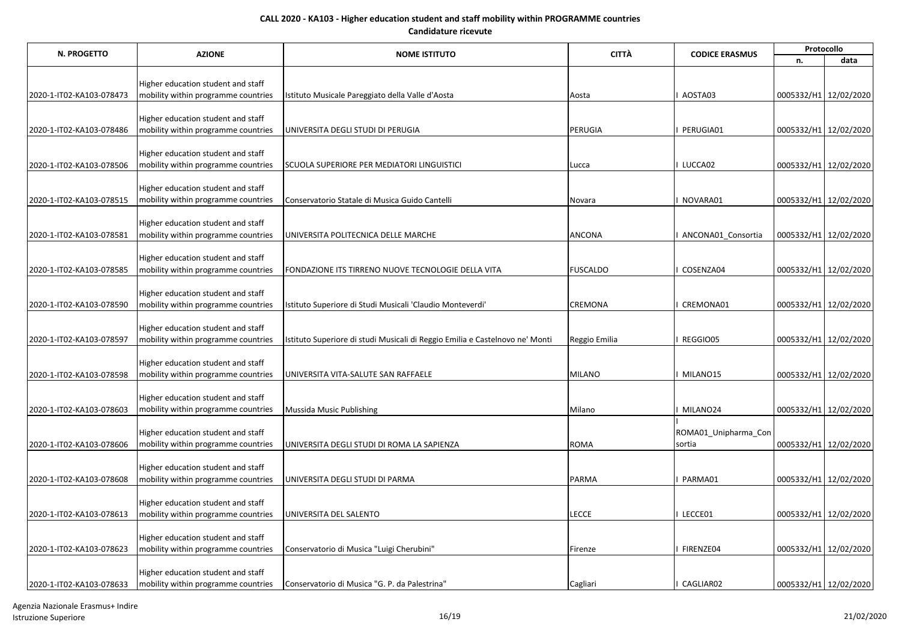| N. PROGETTO              | <b>AZIONE</b>                       | <b>NOME ISTITUTO</b>                                                         | <b>CITTÀ</b>    | <b>CODICE ERASMUS</b> | Protocollo            |      |  |
|--------------------------|-------------------------------------|------------------------------------------------------------------------------|-----------------|-----------------------|-----------------------|------|--|
|                          |                                     |                                                                              |                 |                       | n.                    | data |  |
|                          |                                     |                                                                              |                 |                       |                       |      |  |
|                          | Higher education student and staff  |                                                                              |                 |                       |                       |      |  |
| 2020-1-IT02-KA103-078473 | mobility within programme countries | Istituto Musicale Pareggiato della Valle d'Aosta                             | Aosta           | AOSTA03               | 0005332/H1 12/02/2020 |      |  |
|                          | Higher education student and staff  |                                                                              |                 |                       |                       |      |  |
| 2020-1-IT02-KA103-078486 | mobility within programme countries | UNIVERSITA DEGLI STUDI DI PERUGIA                                            | PERUGIA         | PERUGIA01             | 0005332/H1 12/02/2020 |      |  |
|                          |                                     |                                                                              |                 |                       |                       |      |  |
|                          | Higher education student and staff  |                                                                              |                 |                       |                       |      |  |
| 2020-1-IT02-KA103-078506 | mobility within programme countries | SCUOLA SUPERIORE PER MEDIATORI LINGUISTICI                                   | Lucca           | LUCCA02               | 0005332/H1 12/02/2020 |      |  |
|                          | Higher education student and staff  |                                                                              |                 |                       |                       |      |  |
| 2020-1-IT02-KA103-078515 | mobility within programme countries | Conservatorio Statale di Musica Guido Cantelli                               | Novara          | NOVARA01              | 0005332/H1 12/02/2020 |      |  |
|                          |                                     |                                                                              |                 |                       |                       |      |  |
|                          | Higher education student and staff  |                                                                              |                 |                       |                       |      |  |
| 2020-1-IT02-KA103-078581 | mobility within programme countries | UNIVERSITA POLITECNICA DELLE MARCHE                                          | <b>ANCONA</b>   | ANCONA01 Consortia    | 0005332/H1 12/02/2020 |      |  |
|                          | Higher education student and staff  |                                                                              |                 |                       |                       |      |  |
| 2020-1-IT02-KA103-078585 | mobility within programme countries | FONDAZIONE ITS TIRRENO NUOVE TECNOLOGIE DELLA VITA                           | <b>FUSCALDO</b> | COSENZA04             | 0005332/H1 12/02/2020 |      |  |
|                          |                                     |                                                                              |                 |                       |                       |      |  |
|                          | Higher education student and staff  |                                                                              |                 |                       |                       |      |  |
| 2020-1-IT02-KA103-078590 | mobility within programme countries | Istituto Superiore di Studi Musicali 'Claudio Monteverdi'                    | <b>CREMONA</b>  | CREMONA01             | 0005332/H1 12/02/2020 |      |  |
|                          | Higher education student and staff  |                                                                              |                 |                       |                       |      |  |
| 2020-1-IT02-KA103-078597 | mobility within programme countries | Istituto Superiore di studi Musicali di Reggio Emilia e Castelnovo ne' Monti | Reggio Emilia   | REGGIO05              | 0005332/H1 12/02/2020 |      |  |
|                          |                                     |                                                                              |                 |                       |                       |      |  |
|                          | Higher education student and staff  |                                                                              |                 |                       |                       |      |  |
| 2020-1-IT02-KA103-078598 | mobility within programme countries | UNIVERSITA VITA-SALUTE SAN RAFFAELE                                          | <b>MILANO</b>   | MILANO15              | 0005332/H1 12/02/2020 |      |  |
|                          | Higher education student and staff  |                                                                              |                 |                       |                       |      |  |
| 2020-1-IT02-KA103-078603 | mobility within programme countries | Mussida Music Publishing                                                     | Milano          | MILANO24              | 0005332/H1 12/02/2020 |      |  |
|                          |                                     |                                                                              |                 |                       |                       |      |  |
|                          | Higher education student and staff  |                                                                              |                 | ROMA01_Unipharma_Con  |                       |      |  |
| 2020-1-IT02-KA103-078606 | mobility within programme countries | UNIVERSITA DEGLI STUDI DI ROMA LA SAPIENZA                                   | <b>ROMA</b>     | sortia                | 0005332/H1 12/02/2020 |      |  |
|                          | Higher education student and staff  |                                                                              |                 |                       |                       |      |  |
| 2020-1-IT02-KA103-078608 | mobility within programme countries | UNIVERSITA DEGLI STUDI DI PARMA                                              | PARMA           | PARMA01               | 0005332/H1 12/02/2020 |      |  |
|                          |                                     |                                                                              |                 |                       |                       |      |  |
|                          | Higher education student and staff  |                                                                              |                 |                       |                       |      |  |
| 2020-1-IT02-KA103-078613 | mobility within programme countries | UNIVERSITA DEL SALENTO                                                       | <b>LECCE</b>    | LECCE01               | 0005332/H1 12/02/2020 |      |  |
|                          | Higher education student and staff  |                                                                              |                 |                       |                       |      |  |
| 2020-1-IT02-KA103-078623 | mobility within programme countries | Conservatorio di Musica "Luigi Cherubini"                                    | Firenze         | FIRENZE04             | 0005332/H1 12/02/2020 |      |  |
|                          |                                     |                                                                              |                 |                       |                       |      |  |
|                          | Higher education student and staff  |                                                                              |                 |                       |                       |      |  |
| 2020-1-IT02-KA103-078633 | mobility within programme countries | Conservatorio di Musica "G. P. da Palestrina"                                | Cagliari        | CAGLIAR02             | 0005332/H1 12/02/2020 |      |  |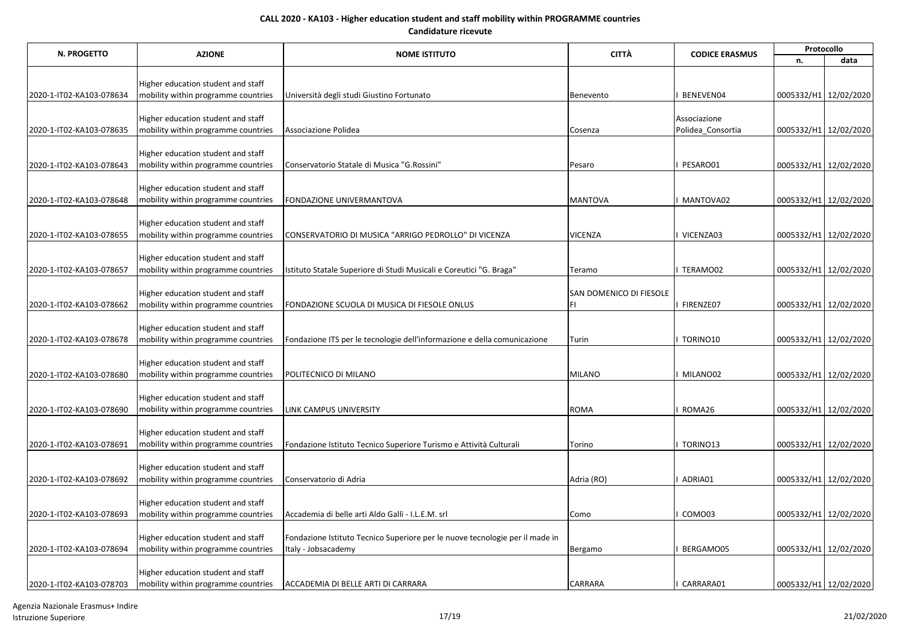| N. PROGETTO              | <b>AZIONE</b>                                                             | <b>NOME ISTITUTO</b>                                                         | <b>CITTÀ</b>                   | <b>CODICE ERASMUS</b> | Protocollo            |      |  |
|--------------------------|---------------------------------------------------------------------------|------------------------------------------------------------------------------|--------------------------------|-----------------------|-----------------------|------|--|
|                          |                                                                           |                                                                              |                                |                       | n.                    | data |  |
|                          |                                                                           |                                                                              |                                |                       |                       |      |  |
|                          | Higher education student and staff                                        |                                                                              |                                |                       |                       |      |  |
| 2020-1-IT02-KA103-078634 | mobility within programme countries                                       | Università degli studi Giustino Fortunato                                    | Benevento                      | BENEVEN04             | 0005332/H1 12/02/2020 |      |  |
|                          | Higher education student and staff                                        |                                                                              |                                | Associazione          |                       |      |  |
| 2020-1-IT02-KA103-078635 | mobility within programme countries                                       | Associazione Polidea                                                         | Cosenza                        | Polidea Consortia     | 0005332/H1 12/02/2020 |      |  |
|                          |                                                                           |                                                                              |                                |                       |                       |      |  |
|                          | Higher education student and staff                                        |                                                                              |                                |                       |                       |      |  |
| 2020-1-IT02-KA103-078643 | mobility within programme countries                                       | Conservatorio Statale di Musica "G.Rossini"                                  | Pesaro                         | PESARO01              | 0005332/H1 12/02/2020 |      |  |
|                          |                                                                           |                                                                              |                                |                       |                       |      |  |
|                          | Higher education student and staff                                        |                                                                              | <b>MANTOVA</b>                 |                       |                       |      |  |
| 2020-1-IT02-KA103-078648 | mobility within programme countries                                       | FONDAZIONE UNIVERMANTOVA                                                     |                                | MANTOVA02             | 0005332/H1 12/02/2020 |      |  |
|                          | Higher education student and staff                                        |                                                                              |                                |                       |                       |      |  |
| 2020-1-IT02-KA103-078655 | mobility within programme countries                                       | CONSERVATORIO DI MUSICA "ARRIGO PEDROLLO" DI VICENZA                         | <b>VICENZA</b>                 | VICENZA03             | 0005332/H1 12/02/2020 |      |  |
|                          |                                                                           |                                                                              |                                |                       |                       |      |  |
|                          | Higher education student and staff                                        |                                                                              |                                |                       |                       |      |  |
| 2020-1-IT02-KA103-078657 | mobility within programme countries                                       | Istituto Statale Superiore di Studi Musicali e Coreutici "G. Braga"          | Teramo                         | TERAMO02              | 0005332/H1 12/02/2020 |      |  |
|                          |                                                                           |                                                                              |                                |                       |                       |      |  |
| 2020-1-IT02-KA103-078662 | Higher education student and staff<br>mobility within programme countries | FONDAZIONE SCUOLA DI MUSICA DI FIESOLE ONLUS                                 | SAN DOMENICO DI FIESOLE<br>FI. | FIRENZE07             | 0005332/H1 12/02/2020 |      |  |
|                          |                                                                           |                                                                              |                                |                       |                       |      |  |
|                          | Higher education student and staff                                        |                                                                              |                                |                       |                       |      |  |
| 2020-1-IT02-KA103-078678 | mobility within programme countries                                       | Fondazione ITS per le tecnologie dell'informazione e della comunicazione     | Turin                          | TORINO10              | 0005332/H1 12/02/2020 |      |  |
|                          |                                                                           |                                                                              |                                |                       |                       |      |  |
|                          | Higher education student and staff                                        |                                                                              |                                |                       |                       |      |  |
| 2020-1-IT02-KA103-078680 | mobility within programme countries                                       | POLITECNICO DI MILANO                                                        | <b>MILANO</b>                  | MILANO02              | 0005332/H1 12/02/2020 |      |  |
|                          |                                                                           |                                                                              |                                |                       |                       |      |  |
| 2020-1-IT02-KA103-078690 | Higher education student and staff<br>mobility within programme countries | LINK CAMPUS UNIVERSITY                                                       | <b>ROMA</b>                    | ROMA26                | 0005332/H1 12/02/2020 |      |  |
|                          |                                                                           |                                                                              |                                |                       |                       |      |  |
|                          | Higher education student and staff                                        |                                                                              |                                |                       |                       |      |  |
| 2020-1-IT02-KA103-078691 | mobility within programme countries                                       | Fondazione Istituto Tecnico Superiore Turismo e Attività Culturali           | Torino                         | TORINO13              | 0005332/H1 12/02/2020 |      |  |
|                          |                                                                           |                                                                              |                                |                       |                       |      |  |
|                          | Higher education student and staff                                        |                                                                              |                                |                       |                       |      |  |
| 2020-1-IT02-KA103-078692 | mobility within programme countries                                       | Conservatorio di Adria                                                       | Adria (RO)                     | ADRIA01               | 0005332/H1 12/02/2020 |      |  |
|                          | Higher education student and staff                                        |                                                                              |                                |                       |                       |      |  |
| 2020-1-IT02-KA103-078693 | mobility within programme countries                                       | Accademia di belle arti Aldo Galli - I.L.E.M. srl                            | Como                           | COMO03                | 0005332/H1 12/02/2020 |      |  |
|                          |                                                                           |                                                                              |                                |                       |                       |      |  |
|                          | Higher education student and staff                                        | Fondazione Istituto Tecnico Superiore per le nuove tecnologie per il made in |                                |                       |                       |      |  |
| 2020-1-IT02-KA103-078694 | mobility within programme countries                                       | Italy - Jobsacademy                                                          | Bergamo                        | BERGAMO05             | 0005332/H1 12/02/2020 |      |  |
|                          |                                                                           |                                                                              |                                |                       |                       |      |  |
|                          | Higher education student and staff                                        |                                                                              |                                |                       |                       |      |  |
| 2020-1-IT02-KA103-078703 | mobility within programme countries                                       | ACCADEMIA DI BELLE ARTI DI CARRARA                                           | CARRARA                        | CARRARA01             | 0005332/H1 12/02/2020 |      |  |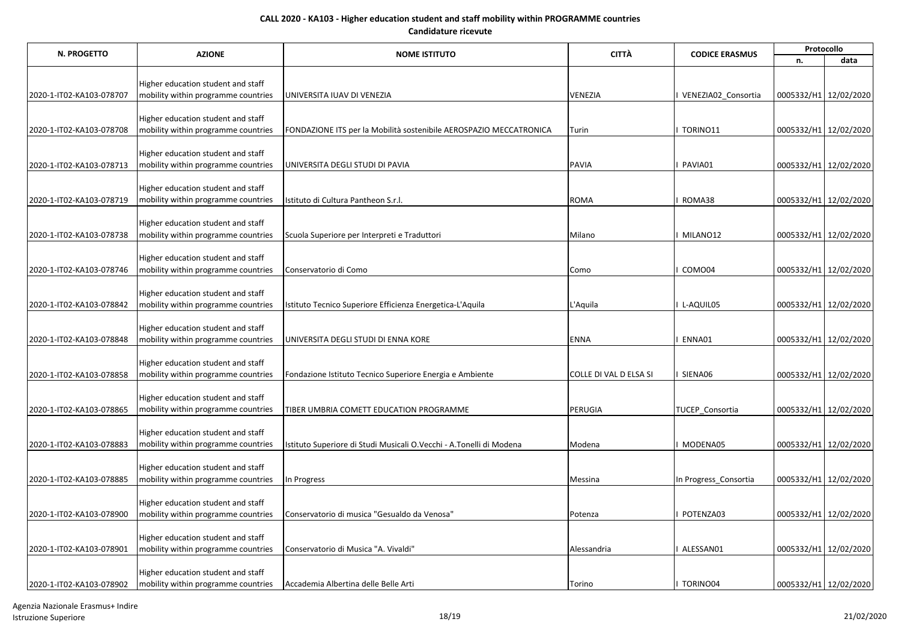| N. PROGETTO              | <b>AZIONE</b>                       | <b>NOME ISTITUTO</b>                                                | <b>CITTÀ</b>           | <b>CODICE ERASMUS</b> | Protocollo            |                       |  |
|--------------------------|-------------------------------------|---------------------------------------------------------------------|------------------------|-----------------------|-----------------------|-----------------------|--|
|                          |                                     |                                                                     |                        |                       | n.                    | data                  |  |
|                          |                                     |                                                                     |                        |                       |                       |                       |  |
|                          | Higher education student and staff  |                                                                     |                        |                       |                       |                       |  |
| 2020-1-IT02-KA103-078707 | mobility within programme countries | UNIVERSITA IUAV DI VENEZIA                                          | VENEZIA                | VENEZIA02_Consortia   | 0005332/H1 12/02/2020 |                       |  |
|                          | Higher education student and staff  |                                                                     |                        |                       |                       |                       |  |
| 2020-1-IT02-KA103-078708 | mobility within programme countries | FONDAZIONE ITS per la Mobilità sostenibile AEROSPAZIO MECCATRONICA  | Turin                  | TORINO11              | 0005332/H1 12/02/2020 |                       |  |
|                          |                                     |                                                                     |                        |                       |                       |                       |  |
|                          | Higher education student and staff  |                                                                     |                        |                       |                       |                       |  |
| 2020-1-IT02-KA103-078713 | mobility within programme countries | UNIVERSITA DEGLI STUDI DI PAVIA                                     | <b>PAVIA</b>           | PAVIA01               | 0005332/H1 12/02/2020 |                       |  |
|                          |                                     |                                                                     |                        |                       |                       |                       |  |
|                          | Higher education student and staff  |                                                                     |                        |                       |                       |                       |  |
| 2020-1-IT02-KA103-078719 | mobility within programme countries | Istituto di Cultura Pantheon S.r.I.                                 | <b>ROMA</b>            | ROMA38                | 0005332/H1 12/02/2020 |                       |  |
|                          | Higher education student and staff  |                                                                     |                        |                       |                       |                       |  |
| 2020-1-IT02-KA103-078738 | mobility within programme countries | Scuola Superiore per Interpreti e Traduttori                        | Milano                 | MILANO12              | 0005332/H1 12/02/2020 |                       |  |
|                          |                                     |                                                                     |                        |                       |                       |                       |  |
|                          | Higher education student and staff  |                                                                     |                        |                       |                       |                       |  |
| 2020-1-IT02-KA103-078746 | mobility within programme countries | Conservatorio di Como                                               | Como                   | COMO04                | 0005332/H1 12/02/2020 |                       |  |
|                          |                                     |                                                                     |                        |                       |                       |                       |  |
|                          | Higher education student and staff  |                                                                     |                        |                       |                       |                       |  |
| 2020-1-IT02-KA103-078842 | mobility within programme countries | Istituto Tecnico Superiore Efficienza Energetica-L'Aquila           | L'Aquila               | L-AQUIL05             |                       | 0005332/H1 12/02/2020 |  |
|                          | Higher education student and staff  |                                                                     |                        |                       |                       |                       |  |
| 2020-1-IT02-KA103-078848 | mobility within programme countries | UNIVERSITA DEGLI STUDI DI ENNA KORE                                 | <b>ENNA</b>            | ENNA01                | 0005332/H1 12/02/2020 |                       |  |
|                          |                                     |                                                                     |                        |                       |                       |                       |  |
|                          | Higher education student and staff  |                                                                     |                        |                       |                       |                       |  |
| 2020-1-IT02-KA103-078858 | mobility within programme countries | Fondazione Istituto Tecnico Superiore Energia e Ambiente            | COLLE DI VAL D ELSA SI | SIENA06               | 0005332/H1 12/02/2020 |                       |  |
|                          |                                     |                                                                     |                        |                       |                       |                       |  |
|                          | Higher education student and staff  |                                                                     |                        |                       |                       |                       |  |
| 2020-1-IT02-KA103-078865 | mobility within programme countries | TIBER UMBRIA COMETT EDUCATION PROGRAMME                             | PERUGIA                | TUCEP Consortia       |                       | 0005332/H1 12/02/2020 |  |
|                          | Higher education student and staff  |                                                                     |                        |                       |                       |                       |  |
| 2020-1-IT02-KA103-078883 | mobility within programme countries | Istituto Superiore di Studi Musicali O.Vecchi - A.Tonelli di Modena | Modena                 | MODENA05              |                       | 0005332/H1 12/02/2020 |  |
|                          |                                     |                                                                     |                        |                       |                       |                       |  |
|                          | Higher education student and staff  |                                                                     |                        |                       |                       |                       |  |
| 2020-1-IT02-KA103-078885 | mobility within programme countries | In Progress                                                         | Messina                | In Progress_Consortia | 0005332/H1 12/02/2020 |                       |  |
|                          |                                     |                                                                     |                        |                       |                       |                       |  |
|                          | Higher education student and staff  |                                                                     |                        |                       |                       |                       |  |
| 2020-1-IT02-KA103-078900 | mobility within programme countries | Conservatorio di musica "Gesualdo da Venosa"                        | Potenza                | POTENZA03             | 0005332/H1 12/02/2020 |                       |  |
|                          | Higher education student and staff  |                                                                     |                        |                       |                       |                       |  |
| 2020-1-IT02-KA103-078901 | mobility within programme countries | Conservatorio di Musica "A. Vivaldi"                                | Alessandria            | ALESSAN01             | 0005332/H1 12/02/2020 |                       |  |
|                          |                                     |                                                                     |                        |                       |                       |                       |  |
|                          | Higher education student and staff  |                                                                     |                        |                       |                       |                       |  |
| 2020-1-IT02-KA103-078902 | mobility within programme countries | Accademia Albertina delle Belle Arti                                | Torino                 | <b>TORINO04</b>       | 0005332/H1 12/02/2020 |                       |  |